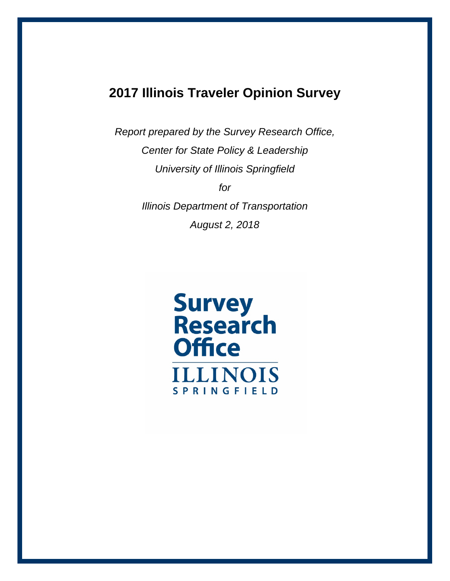# **2017 Illinois Traveler Opinion Survey**

*Report prepared by the Survey Research Office, Center for State Policy & Leadership University of Illinois Springfield for Illinois Department of Transportation August 2, 2018*

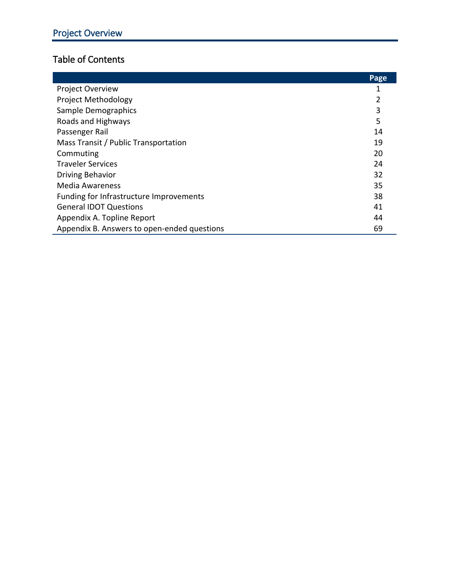# Table of Contents

|                                             | Page |
|---------------------------------------------|------|
| Project Overview                            |      |
| Project Methodology                         | 2    |
| Sample Demographics                         | 3    |
| Roads and Highways                          | 5    |
| Passenger Rail                              | 14   |
| Mass Transit / Public Transportation        | 19   |
| Commuting                                   | 20   |
| <b>Traveler Services</b>                    | 24   |
| <b>Driving Behavior</b>                     | 32   |
| Media Awareness                             | 35   |
| Funding for Infrastructure Improvements     | 38   |
| <b>General IDOT Questions</b>               | 41   |
| Appendix A. Topline Report                  | 44   |
| Appendix B. Answers to open-ended questions | 69   |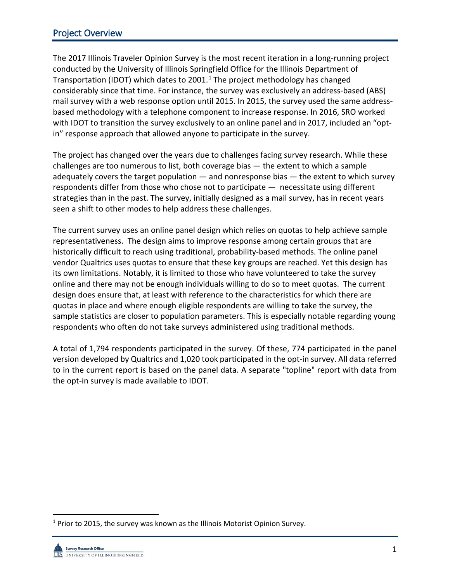# Project Overview

The 2017 Illinois Traveler Opinion Survey is the most recent iteration in a long-running project conducted by the University of Illinois Springfield Office for the Illinois Department of Transportation (IDOT) which dates to 200[1](#page-2-0).<sup>1</sup> The project methodology has changed considerably since that time. For instance, the survey was exclusively an address-based (ABS) mail survey with a web response option until 2015. In 2015, the survey used the same addressbased methodology with a telephone component to increase response. In 2016, SRO worked with IDOT to transition the survey exclusively to an online panel and in 2017, included an "optin" response approach that allowed anyone to participate in the survey.

The project has changed over the years due to challenges facing survey research. While these challenges are too numerous to list, both coverage bias — the extent to which a sample adequately covers the target population  $-$  and nonresponse bias  $-$  the extent to which survey respondents differ from those who chose not to participate — necessitate using different strategies than in the past. The survey, initially designed as a mail survey, has in recent years seen a shift to other modes to help address these challenges.

The current survey uses an online panel design which relies on quotas to help achieve sample representativeness. The design aims to improve response among certain groups that are historically difficult to reach using traditional, probability-based methods. The online panel vendor Qualtrics uses quotas to ensure that these key groups are reached. Yet this design has its own limitations. Notably, it is limited to those who have volunteered to take the survey online and there may not be enough individuals willing to do so to meet quotas. The current design does ensure that, at least with reference to the characteristics for which there are quotas in place and where enough eligible respondents are willing to take the survey, the sample statistics are closer to population parameters. This is especially notable regarding young respondents who often do not take surveys administered using traditional methods.

A total of 1,794 respondents participated in the survey. Of these, 774 participated in the panel version developed by Qualtrics and 1,020 took participated in the opt-in survey. All data referred to in the current report is based on the panel data. A separate "topline" report with data from the opt-in survey is made available to IDOT.

<span id="page-2-0"></span><sup>&</sup>lt;sup>1</sup> Prior to 2015, the survey was known as the Illinois Motorist Opinion Survey.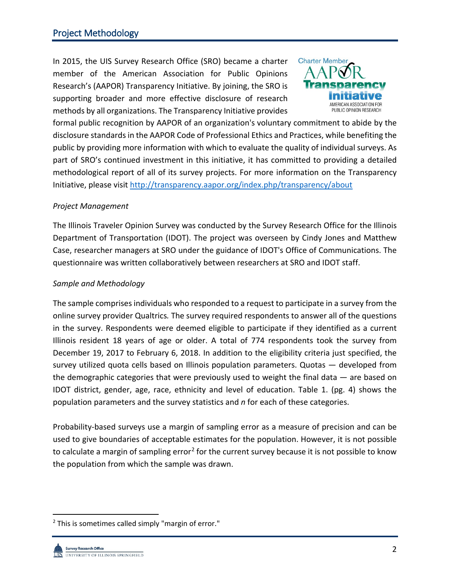In 2015, the UIS Survey Research Office (SRO) became a charter member of the American Association for Public Opinions Research's (AAPOR) Transparency Initiative. By joining, the SRO is supporting broader and more effective disclosure of research methods by all organizations. The Transparency Initiative provides



formal public recognition by AAPOR of an organization's voluntary commitment to abide by the disclosure standards in the AAPOR Code of Professional Ethics and Practices, while benefiting the public by providing more information with which to evaluate the quality of individual surveys. As part of SRO's continued investment in this initiative, it has committed to providing a detailed methodological report of all of its survey projects. For more information on the Transparency Initiative, please visit<http://transparency.aapor.org/index.php/transparency/about>

### *Project Management*

The Illinois Traveler Opinion Survey was conducted by the Survey Research Office for the Illinois Department of Transportation (IDOT). The project was overseen by Cindy Jones and Matthew Case, researcher managers at SRO under the guidance of IDOT's Office of Communications. The questionnaire was written collaboratively between researchers at SRO and IDOT staff.

## *Sample and Methodology*

The sample comprises individuals who responded to a request to participate in a survey from the online survey provider Qualtrics*.* The survey required respondents to answer all of the questions in the survey. Respondents were deemed eligible to participate if they identified as a current Illinois resident 18 years of age or older. A total of 774 respondents took the survey from December 19, 2017 to February 6, 2018. In addition to the eligibility criteria just specified, the survey utilized quota cells based on Illinois population parameters. Quotas — developed from the demographic categories that were previously used to weight the final data  $-$  are based on IDOT district, gender, age, race, ethnicity and level of education. Table 1. (pg. 4) shows the population parameters and the survey statistics and *n* for each of these categories.

Probability-based surveys use a margin of sampling error as a measure of precision and can be used to give boundaries of acceptable estimates for the population. However, it is not possible to calculate a margin of sampling error<sup>[2](#page-3-0)</sup> for the current survey because it is not possible to know the population from which the sample was drawn.

<span id="page-3-0"></span> $2$  This is sometimes called simply "margin of error."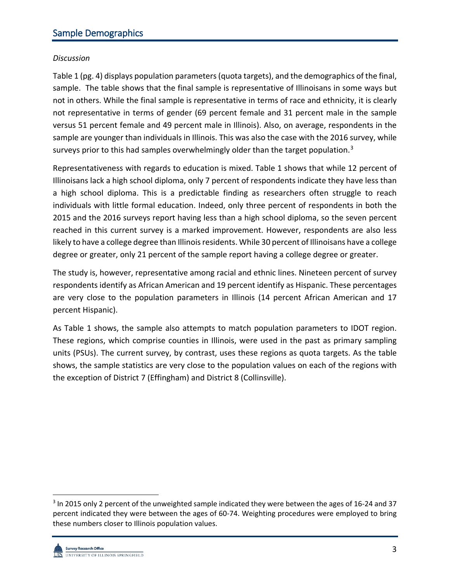## *Discussion*

Table 1 (pg. 4) displays population parameters (quota targets), and the demographics of the final, sample. The table shows that the final sample is representative of Illinoisans in some ways but not in others. While the final sample is representative in terms of race and ethnicity, it is clearly not representative in terms of gender (69 percent female and 31 percent male in the sample versus 51 percent female and 49 percent male in Illinois). Also, on average, respondents in the sample are younger than individuals in Illinois. This was also the case with the 2016 survey, while surveys prior to this had samples overwhelmingly older than the target population.<sup>[3](#page-4-0)</sup>

Representativeness with regards to education is mixed. Table 1 shows that while 12 percent of Illinoisans lack a high school diploma, only 7 percent of respondents indicate they have less than a high school diploma. This is a predictable finding as researchers often struggle to reach individuals with little formal education. Indeed, only three percent of respondents in both the 2015 and the 2016 surveys report having less than a high school diploma, so the seven percent reached in this current survey is a marked improvement. However, respondents are also less likely to have a college degree than Illinois residents. While 30 percent of Illinoisans have a college degree or greater, only 21 percent of the sample report having a college degree or greater.

The study is, however, representative among racial and ethnic lines. Nineteen percent of survey respondents identify as African American and 19 percent identify as Hispanic. These percentages are very close to the population parameters in Illinois (14 percent African American and 17 percent Hispanic).

As Table 1 shows, the sample also attempts to match population parameters to IDOT region. These regions, which comprise counties in Illinois, were used in the past as primary sampling units (PSUs). The current survey, by contrast, uses these regions as quota targets. As the table shows, the sample statistics are very close to the population values on each of the regions with the exception of District 7 (Effingham) and District 8 (Collinsville).

<span id="page-4-0"></span> <sup>3</sup> In 2015 only 2 percent of the unweighted sample indicated they were between the ages of 16-24 and 37 percent indicated they were between the ages of 60-74. Weighting procedures were employed to bring these numbers closer to Illinois population values.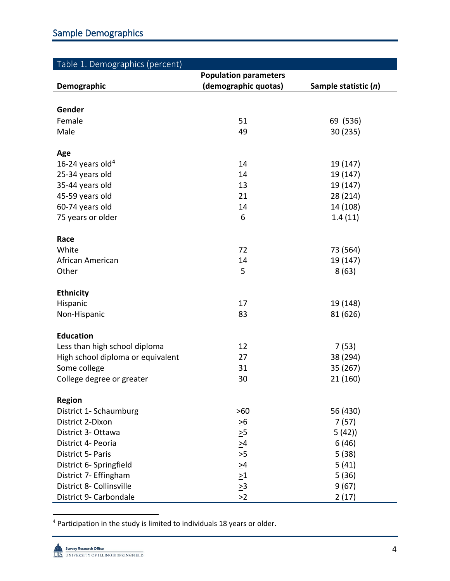| Table 1. Demographics (percent)   |                              |                      |
|-----------------------------------|------------------------------|----------------------|
|                                   | <b>Population parameters</b> |                      |
| <b>Demographic</b>                | (demographic quotas)         | Sample statistic (n) |
|                                   |                              |                      |
| Gender                            |                              |                      |
| Female                            | 51                           | 69 (536)             |
| Male                              | 49                           | 30 (235)             |
| Age                               |                              |                      |
| 16-24 years old <sup>4</sup>      | 14                           | 19 (147)             |
| 25-34 years old                   | 14                           | 19 (147)             |
| 35-44 years old                   | 13                           | 19 (147)             |
| 45-59 years old                   | 21                           | 28 (214)             |
| 60-74 years old                   | 14                           | 14 (108)             |
| 75 years or older                 | 6                            | 1.4(11)              |
| Race                              |                              |                      |
| White                             | 72                           | 73 (564)             |
| African American                  | 14                           | 19 (147)             |
| Other                             | 5                            | 8(63)                |
| <b>Ethnicity</b>                  |                              |                      |
| Hispanic                          | 17                           | 19 (148)             |
| Non-Hispanic                      | 83                           | 81 (626)             |
| <b>Education</b>                  |                              |                      |
| Less than high school diploma     | 12                           | 7(53)                |
| High school diploma or equivalent | 27                           | 38 (294)             |
| Some college                      | 31                           | 35 (267)             |
| College degree or greater         | 30                           | 21 (160)             |
| Region                            |                              |                      |
| District 1- Schaumburg            | $\geq 60$                    | 56 (430)             |
| District 2-Dixon                  | $\geq 6$                     | 7(57)                |
| District 3- Ottawa                | $\geq 5$                     | 5(42)                |
| District 4- Peoria                |                              | 6(46)                |
| District 5- Paris                 | $\frac{64}{10}$              | 5(38)                |
| District 6- Springfield           | $\geq 4$                     | 5(41)                |
| District 7- Effingham             | $\geq1$                      | 5(36)                |
| District 8- Collinsville          | $\geq 3$                     | 9(67)                |
| District 9- Carbondale            | $\geq$ 2                     | 2(17)                |

<span id="page-5-0"></span>4 Participation in the study is limited to individuals 18 years or older.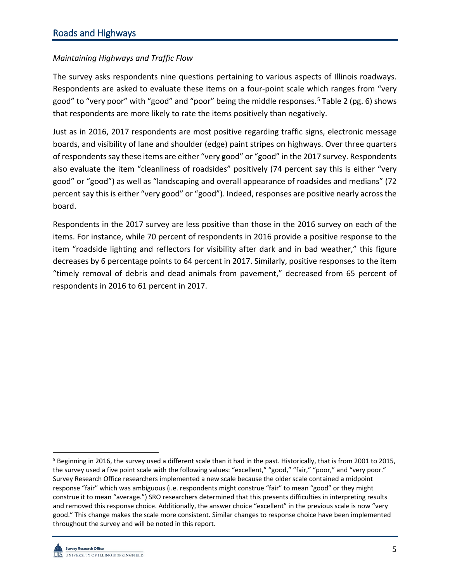## *Maintaining Highways and Traffic Flow*

The survey asks respondents nine questions pertaining to various aspects of Illinois roadways. Respondents are asked to evaluate these items on a four-point scale which ranges from "very good" to "very poor" with "good" and "poor" being the middle responses.<sup>[5](#page-6-0)</sup> Table 2 (pg. 6) shows that respondents are more likely to rate the items positively than negatively.

Just as in 2016, 2017 respondents are most positive regarding traffic signs, electronic message boards, and visibility of lane and shoulder (edge) paint stripes on highways. Over three quarters of respondents say these items are either "very good" or "good" in the 2017 survey. Respondents also evaluate the item "cleanliness of roadsides" positively (74 percent say this is either "very good" or "good") as well as "landscaping and overall appearance of roadsides and medians" (72 percent say this is either "very good" or "good"). Indeed, responses are positive nearly across the board.

Respondents in the 2017 survey are less positive than those in the 2016 survey on each of the items. For instance, while 70 percent of respondents in 2016 provide a positive response to the item "roadside lighting and reflectors for visibility after dark and in bad weather," this figure decreases by 6 percentage points to 64 percent in 2017. Similarly, positive responses to the item "timely removal of debris and dead animals from pavement," decreased from 65 percent of respondents in 2016 to 61 percent in 2017.

<span id="page-6-0"></span><sup>&</sup>lt;sup>5</sup> Beginning in 2016, the survey used a different scale than it had in the past. Historically, that is from 2001 to 2015, the survey used a five point scale with the following values: "excellent," "good," "fair," "poor," and "very poor." Survey Research Office researchers implemented a new scale because the older scale contained a midpoint response "fair" which was ambiguous (i.e. respondents might construe "fair" to mean "good" or they might construe it to mean "average.") SRO researchers determined that this presents difficulties in interpreting results and removed this response choice. Additionally, the answer choice "excellent" in the previous scale is now "very good." This change makes the scale more consistent. Similar changes to response choice have been implemented throughout the survey and will be noted in this report.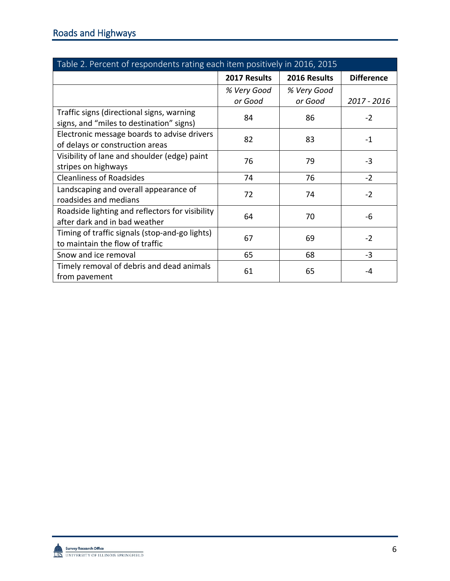| Table 2. Percent of respondents rating each item positively in 2016, 2015             |              |              |                   |
|---------------------------------------------------------------------------------------|--------------|--------------|-------------------|
|                                                                                       | 2017 Results | 2016 Results | <b>Difference</b> |
|                                                                                       | % Very Good  | % Very Good  |                   |
|                                                                                       | or Good      | or Good      | 2017 - 2016       |
| Traffic signs (directional signs, warning<br>signs, and "miles to destination" signs) | 84           | 86           | $-2$              |
| Electronic message boards to advise drivers<br>of delays or construction areas        | 82           | 83           | $-1$              |
| Visibility of lane and shoulder (edge) paint<br>stripes on highways                   | 76           | 79           | $-3$              |
| <b>Cleanliness of Roadsides</b>                                                       | 74           | 76           | $-2$              |
| Landscaping and overall appearance of<br>roadsides and medians                        | 72           | 74           | $-2$              |
| Roadside lighting and reflectors for visibility<br>after dark and in bad weather      | 64           | 70           | -6                |
| Timing of traffic signals (stop-and-go lights)<br>to maintain the flow of traffic     | 67           | 69           | $-2$              |
| Snow and ice removal                                                                  | 65           | 68           | $-3$              |
| Timely removal of debris and dead animals<br>from pavement                            | 61           | 65           | -4                |

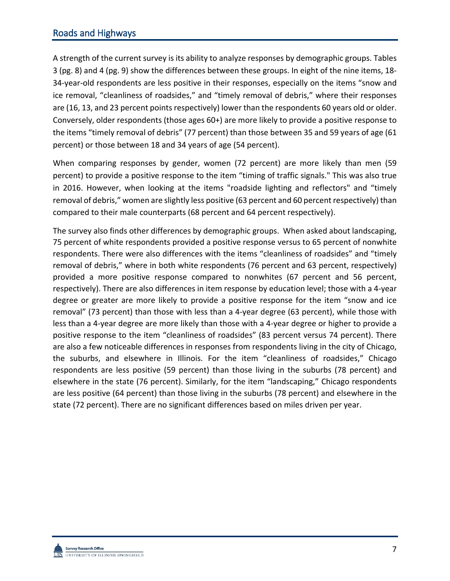# Roads and Highways

A strength of the current survey is its ability to analyze responses by demographic groups. Tables 3 (pg. 8) and 4 (pg. 9) show the differences between these groups. In eight of the nine items, 18- 34-year-old respondents are less positive in their responses, especially on the items "snow and ice removal, "cleanliness of roadsides," and "timely removal of debris," where their responses are (16, 13, and 23 percent points respectively) lower than the respondents 60 years old or older. Conversely, older respondents (those ages 60+) are more likely to provide a positive response to the items "timely removal of debris" (77 percent) than those between 35 and 59 years of age (61 percent) or those between 18 and 34 years of age (54 percent).

When comparing responses by gender, women (72 percent) are more likely than men (59 percent) to provide a positive response to the item "timing of traffic signals." This was also true in 2016. However, when looking at the items "roadside lighting and reflectors" and "timely removal of debris," women are slightly less positive (63 percent and 60 percent respectively) than compared to their male counterparts (68 percent and 64 percent respectively).

The survey also finds other differences by demographic groups. When asked about landscaping, 75 percent of white respondents provided a positive response versus to 65 percent of nonwhite respondents. There were also differences with the items "cleanliness of roadsides" and "timely removal of debris," where in both white respondents (76 percent and 63 percent, respectively) provided a more positive response compared to nonwhites (67 percent and 56 percent, respectively). There are also differences in item response by education level; those with a 4-year degree or greater are more likely to provide a positive response for the item "snow and ice removal" (73 percent) than those with less than a 4-year degree (63 percent), while those with less than a 4-year degree are more likely than those with a 4-year degree or higher to provide a positive response to the item "cleanliness of roadsides" (83 percent versus 74 percent). There are also a few noticeable differences in responses from respondents living in the city of Chicago, the suburbs, and elsewhere in Illinois. For the item "cleanliness of roadsides," Chicago respondents are less positive (59 percent) than those living in the suburbs (78 percent) and elsewhere in the state (76 percent). Similarly, for the item "landscaping," Chicago respondents are less positive (64 percent) than those living in the suburbs (78 percent) and elsewhere in the state (72 percent). There are no significant differences based on miles driven per year.

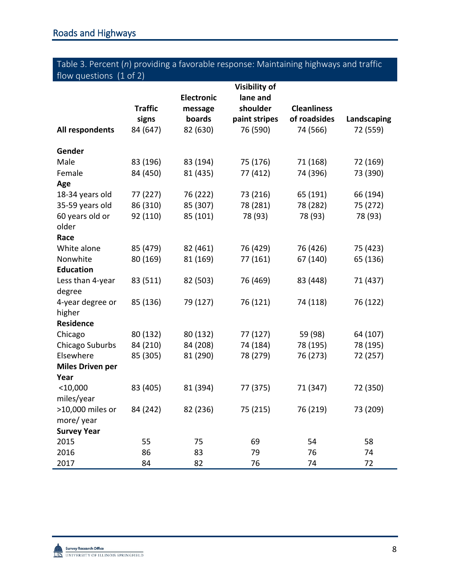# Table 3. Percent (*n*) providing a favorable response: Maintaining highways and traffic flow questions (1 of 2)

|                         | <b>Traffic</b>       | <b>Electronic</b><br>message | <b>Visibility of</b><br>lane and<br>shoulder | <b>Cleanliness</b>   |                      |
|-------------------------|----------------------|------------------------------|----------------------------------------------|----------------------|----------------------|
|                         | signs                | boards                       | paint stripes                                | of roadsides         | Landscaping          |
| All respondents         | 84 (647)             | 82 (630)                     | 76 (590)                                     | 74 (566)             | 72 (559)             |
| Gender                  |                      |                              |                                              |                      |                      |
| Male                    | 83 (196)             | 83 (194)                     | 75 (176)                                     | 71 (168)             | 72 (169)             |
| Female                  | 84 (450)             | 81 (435)                     | 77 (412)                                     | 74 (396)             | 73 (390)             |
| Age                     |                      |                              |                                              |                      |                      |
| 18-34 years old         | 77 (227)             | 76 (222)                     | 73 (216)                                     | 65 (191)             | 66 (194)             |
| 35-59 years old         | 86 (310)             | 85 (307)                     | 78 (281)                                     | 78 (282)             | 75 (272)             |
| 60 years old or         | 92 (110)             | 85 (101)                     | 78 (93)                                      | 78 (93)              | 78 (93)              |
| older                   |                      |                              |                                              |                      |                      |
| Race<br>White alone     |                      |                              |                                              |                      |                      |
| Nonwhite                | 85 (479)<br>80 (169) | 82 (461)<br>81 (169)         | 76 (429)<br>77 (161)                         | 76 (426)<br>67 (140) | 75 (423)<br>65 (136) |
| <b>Education</b>        |                      |                              |                                              |                      |                      |
| Less than 4-year        | 83 (511)             | 82 (503)                     | 76 (469)                                     | 83 (448)             | 71 (437)             |
| degree                  |                      |                              |                                              |                      |                      |
| 4-year degree or        | 85 (136)             | 79 (127)                     | 76 (121)                                     | 74 (118)             | 76 (122)             |
| higher                  |                      |                              |                                              |                      |                      |
| <b>Residence</b>        |                      |                              |                                              |                      |                      |
| Chicago                 | 80 (132)             | 80 (132)                     | 77 (127)                                     | 59 (98)              | 64 (107)             |
| Chicago Suburbs         | 84 (210)             | 84 (208)                     | 74 (184)                                     | 78 (195)             | 78 (195)             |
| Elsewhere               | 85 (305)             | 81 (290)                     | 78 (279)                                     | 76 (273)             | 72 (257)             |
| <b>Miles Driven per</b> |                      |                              |                                              |                      |                      |
| Year                    |                      |                              |                                              |                      |                      |
| $<$ 10,000              | 83 (405)             | 81 (394)                     | 77 (375)                                     | 71 (347)             | 72 (350)             |
| miles/year              |                      |                              |                                              |                      |                      |
| >10,000 miles or        | 84 (242)             | 82 (236)                     | 75 (215)                                     | 76 (219)             | 73 (209)             |
| more/year               |                      |                              |                                              |                      |                      |
| <b>Survey Year</b>      |                      |                              |                                              |                      |                      |
| 2015                    | 55                   | 75                           | 69                                           | 54                   | 58                   |
| 2016                    | 86                   | 83                           | 79                                           | 76                   | 74                   |
| 2017                    | 84                   | 82                           | 76                                           | 74                   | 72                   |



í.

÷,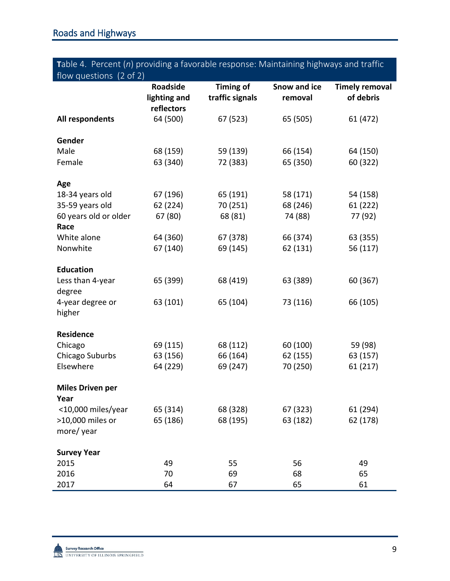# **T**able 4. Percent (*n*) providing a favorable response: Maintaining highways and traffic flow questions (2 of 2)

| $110W$ yutstiviis $(2 \text{ VI } 2)$ | <b>Roadside</b><br>lighting and<br>reflectors | <b>Timing of</b><br>traffic signals | Snow and ice<br>removal | <b>Timely removal</b><br>of debris |
|---------------------------------------|-----------------------------------------------|-------------------------------------|-------------------------|------------------------------------|
| All respondents                       | 64 (500)                                      | 67 (523)                            | 65 (505)                | 61 (472)                           |
| Gender                                |                                               |                                     |                         |                                    |
| Male                                  | 68 (159)                                      | 59 (139)                            | 66 (154)                | 64 (150)                           |
| Female                                | 63 (340)                                      | 72 (383)                            | 65 (350)                | 60 (322)                           |
| Age                                   |                                               |                                     |                         |                                    |
| 18-34 years old                       | 67 (196)                                      | 65 (191)                            | 58 (171)                | 54 (158)                           |
| 35-59 years old                       | 62 (224)                                      | 70 (251)                            | 68 (246)                | 61 (222)                           |
| 60 years old or older<br>Race         | 67 (80)                                       | 68 (81)                             | 74 (88)                 | 77 (92)                            |
| White alone                           | 64 (360)                                      | 67 (378)                            | 66 (374)                | 63 (355)                           |
| Nonwhite                              | 67 (140)                                      | 69 (145)                            | 62 (131)                | 56 (117)                           |
| <b>Education</b>                      |                                               |                                     |                         |                                    |
| Less than 4-year<br>degree            | 65 (399)                                      | 68 (419)                            | 63 (389)                | 60 (367)                           |
| 4-year degree or<br>higher            | 63 (101)                                      | 65 (104)                            | 73 (116)                | 66 (105)                           |
| <b>Residence</b>                      |                                               |                                     |                         |                                    |
| Chicago                               | 69 (115)                                      | 68 (112)                            | 60 (100)                | 59 (98)                            |
| Chicago Suburbs                       | 63 (156)                                      | 66 (164)                            | 62 (155)                | 63 (157)                           |
| Elsewhere                             | 64 (229)                                      | 69 (247)                            | 70 (250)                | 61 (217)                           |
| <b>Miles Driven per</b><br>Year       |                                               |                                     |                         |                                    |
| <10,000 miles/year                    | 65 (314)                                      | 68 (328)                            | 67 (323)                | 61 (294)                           |
| >10,000 miles or                      | 65 (186)                                      | 68 (195)                            | 63 (182)                | 62 (178)                           |
| more/year                             |                                               |                                     |                         |                                    |
| <b>Survey Year</b>                    |                                               |                                     |                         |                                    |
| 2015                                  | 49                                            | 55                                  | 56                      | 49                                 |
| 2016                                  | 70                                            | 69                                  | 68                      | 65                                 |
| 2017                                  | 64                                            | 67                                  | 65                      | 61                                 |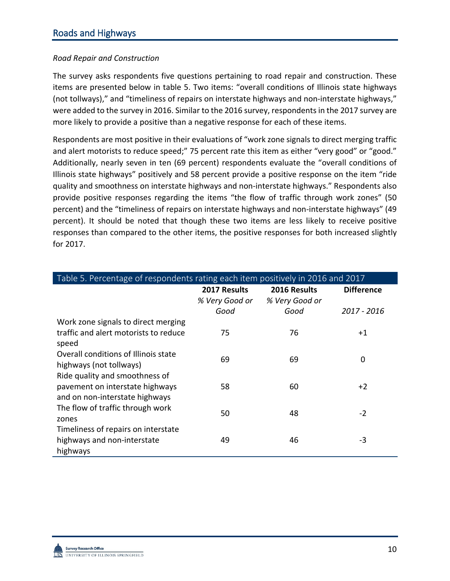## *Road Repair and Construction*

The survey asks respondents five questions pertaining to road repair and construction. These items are presented below in table 5. Two items: "overall conditions of Illinois state highways (not tollways)," and "timeliness of repairs on interstate highways and non-interstate highways," were added to the survey in 2016. Similar to the 2016 survey, respondents in the 2017 survey are more likely to provide a positive than a negative response for each of these items.

Respondents are most positive in their evaluations of "work zone signals to direct merging traffic and alert motorists to reduce speed;" 75 percent rate this item as either "very good" or "good." Additionally, nearly seven in ten (69 percent) respondents evaluate the "overall conditions of Illinois state highways" positively and 58 percent provide a positive response on the item "ride quality and smoothness on interstate highways and non-interstate highways." Respondents also provide positive responses regarding the items "the flow of traffic through work zones" (50 percent) and the "timeliness of repairs on interstate highways and non-interstate highways" (49 percent). It should be noted that though these two items are less likely to receive positive responses than compared to the other items, the positive responses for both increased slightly for 2017.

| Table 5. Percentage of respondents rating each item positively in 2016 and 2017 |                |                |                   |  |
|---------------------------------------------------------------------------------|----------------|----------------|-------------------|--|
|                                                                                 | 2017 Results   | 2016 Results   | <b>Difference</b> |  |
|                                                                                 | % Very Good or | % Very Good or |                   |  |
|                                                                                 | Good           | Good           | 2017 - 2016       |  |
| Work zone signals to direct merging                                             |                |                |                   |  |
| traffic and alert motorists to reduce                                           | 75             | 76             | $+1$              |  |
| speed                                                                           |                |                |                   |  |
| Overall conditions of Illinois state                                            | 69             | 69             | 0                 |  |
| highways (not tollways)                                                         |                |                |                   |  |
| Ride quality and smoothness of                                                  |                |                |                   |  |
| pavement on interstate highways                                                 | 58             | 60             | $+2$              |  |
| and on non-interstate highways                                                  |                |                |                   |  |
| The flow of traffic through work                                                | 50             | 48             | $-2$              |  |
| zones                                                                           |                |                |                   |  |
| Timeliness of repairs on interstate                                             |                |                |                   |  |
| highways and non-interstate                                                     | 49             | 46             | $-3$              |  |
| highways                                                                        |                |                |                   |  |

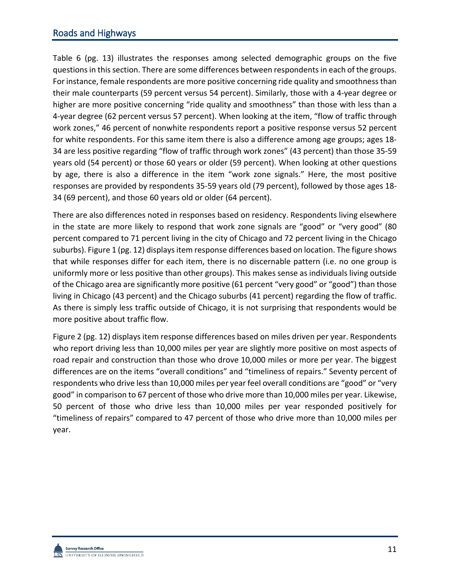# Roads and Highways

Table 6 (pg. 13) illustrates the responses among selected demographic groups on the five questions in this section. There are some differences between respondents in each of the groups. For instance, female respondents are more positive concerning ride quality and smoothness than their male counterparts (59 percent versus 54 percent). Similarly, those with a 4-year degree or higher are more positive concerning "ride quality and smoothness" than those with less than a 4-year degree (62 percent versus 57 percent). When looking at the item, "flow of traffic through work zones," 46 percent of nonwhite respondents report a positive response versus 52 percent for white respondents. For this same item there is also a difference among age groups; ages 18- 34 are less positive regarding "flow of traffic through work zones" (43 percent) than those 35-59 years old (54 percent) or those 60 years or older (59 percent). When looking at other questions by age, there is also a difference in the item "work zone signals." Here, the most positive responses are provided by respondents 35-59 years old (79 percent), followed by those ages 18- 34 (69 percent), and those 60 years old or older (64 percent).

There are also differences noted in responses based on residency. Respondents living elsewhere in the state are more likely to respond that work zone signals are "good" or "very good" (80 percent compared to 71 percent living in the city of Chicago and 72 percent living in the Chicago suburbs). Figure 1 (pg. 12) displays item response differences based on location. The figure shows that while responses differ for each item, there is no discernable pattern (i.e. no one group is uniformly more or less positive than other groups). This makes sense as individuals living outside of the Chicago area are significantly more positive (61 percent "very good" or "good") than those living in Chicago (43 percent) and the Chicago suburbs (41 percent) regarding the flow of traffic. As there is simply less traffic outside of Chicago, it is not surprising that respondents would be more positive about traffic flow.

Figure 2 (pg. 12) displays item response differences based on miles driven per year. Respondents who report driving less than 10,000 miles per year are slightly more positive on most aspects of road repair and construction than those who drove 10,000 miles or more per year. The biggest differences are on the items "overall conditions" and "timeliness of repairs." Seventy percent of respondents who drive less than 10,000 miles per year feel overall conditions are "good" or "very good" in comparison to 67 percent of those who drive more than 10,000 miles per year. Likewise, 50 percent of those who drive less than 10,000 miles per year responded positively for "timeliness of repairs" compared to 47 percent of those who drive more than 10,000 miles per year.

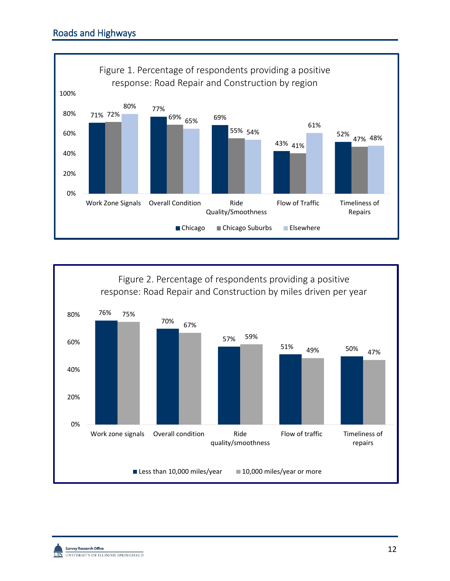

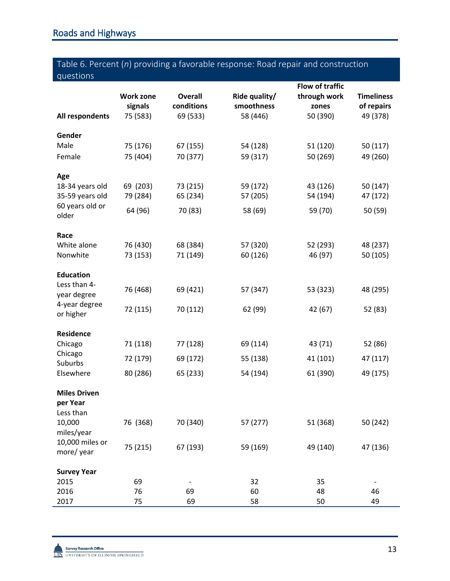# Table 6. Percent (*n*) providing a favorable response: Road repair and construction questions

|                            |                  |                | <b>Flow of traffic</b> |              |                   |
|----------------------------|------------------|----------------|------------------------|--------------|-------------------|
|                            | <b>Work zone</b> | <b>Overall</b> | Ride quality/          | through work | <b>Timeliness</b> |
|                            | signals          | conditions     | smoothness             | zones        | of repairs        |
| All respondents            | 75 (583)         | 69 (533)       | 58 (446)               | 50 (390)     | 49 (378)          |
| Gender                     |                  |                |                        |              |                   |
| Male                       | 75 (176)         | 67 (155)       | 54 (128)               | 51 (120)     | 50 (117)          |
| Female                     | 75 (404)         | 70 (377)       | 59 (317)               | 50 (269)     | 49 (260)          |
| Age                        |                  |                |                        |              |                   |
| 18-34 years old            | 69 (203)         | 73 (215)       | 59 (172)               | 43 (126)     | 50 (147)          |
| 35-59 years old            | 79 (284)         | 65 (234)       | 57 (205)               | 54 (194)     | 47 (172)          |
| 60 years old or<br>older   | 64 (96)          | 70 (83)        | 58 (69)                | 59 (70)      | 50 (59)           |
| Race                       |                  |                |                        |              |                   |
| White alone                | 76 (430)         | 68 (384)       | 57 (320)               | 52 (293)     | 48 (237)          |
| Nonwhite                   | 73 (153)         | 71 (149)       | 60 (126)               | 46 (97)      | 50 (105)          |
| <b>Education</b>           |                  |                |                        |              |                   |
| Less than 4-               | 76 (468)         | 69 (421)       | 57 (347)               | 53 (323)     | 48 (295)          |
| year degree                |                  |                |                        |              |                   |
| 4-year degree<br>or higher | 72 (115)         | 70 (112)       | 62 (99)                | 42 (67)      | 52 (83)           |
| Residence                  |                  |                |                        |              |                   |
| Chicago                    | 71 (118)         | 77 (128)       | 69 (114)               | 43 (71)      | 52 (86)           |
| Chicago                    |                  |                |                        |              |                   |
| Suburbs                    | 72 (179)         | 69 (172)       | 55 (138)               | 41 (101)     | 47 (117)          |
| Elsewhere                  | 80 (286)         | 65 (233)       | 54 (194)               | 61 (390)     | 49 (175)          |
| <b>Miles Driven</b>        |                  |                |                        |              |                   |
| per Year                   |                  |                |                        |              |                   |
| Less than                  |                  |                |                        |              |                   |
| 10,000<br>miles/year       | 76 (368)         | 70 (340)       | 57 (277)               | 51 (368)     | 50 (242)          |
| 10,000 miles or            |                  |                |                        |              |                   |
| more/year                  | 75 (215)         | 67 (193)       | 59 (169)               | 49 (140)     | 47 (136)          |
| <b>Survey Year</b>         |                  |                |                        |              |                   |
| 2015                       | 69               |                | 32                     | 35           |                   |
| 2016                       | 76               | 69             | 60                     | 48           | 46                |
| 2017                       | 75               | 69             | 58                     | 50           | 49                |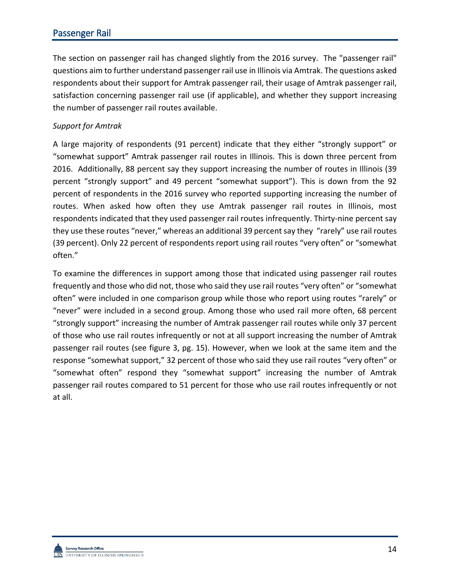# Passenger Rail

The section on passenger rail has changed slightly from the 2016 survey. The "passenger rail" questions aim to further understand passenger rail use in Illinois via Amtrak. The questions asked respondents about their support for Amtrak passenger rail, their usage of Amtrak passenger rail, satisfaction concerning passenger rail use (if applicable), and whether they support increasing the number of passenger rail routes available.

#### *Support for Amtrak*

A large majority of respondents (91 percent) indicate that they either "strongly support" or "somewhat support" Amtrak passenger rail routes in Illinois. This is down three percent from 2016. Additionally, 88 percent say they support increasing the number of routes in Illinois (39 percent "strongly support" and 49 percent "somewhat support"). This is down from the 92 percent of respondents in the 2016 survey who reported supporting increasing the number of routes. When asked how often they use Amtrak passenger rail routes in Illinois, most respondents indicated that they used passenger rail routes infrequently. Thirty-nine percent say they use these routes "never," whereas an additional 39 percent say they "rarely" use rail routes (39 percent). Only 22 percent of respondents report using rail routes "very often" or "somewhat often."

To examine the differences in support among those that indicated using passenger rail routes frequently and those who did not, those who said they use rail routes "very often" or "somewhat often" were included in one comparison group while those who report using routes "rarely" or "never" were included in a second group. Among those who used rail more often, 68 percent "strongly support" increasing the number of Amtrak passenger rail routes while only 37 percent of those who use rail routes infrequently or not at all support increasing the number of Amtrak passenger rail routes (see figure 3, pg. 15). However, when we look at the same item and the response "somewhat support," 32 percent of those who said they use rail routes "very often" or "somewhat often" respond they "somewhat support" increasing the number of Amtrak passenger rail routes compared to 51 percent for those who use rail routes infrequently or not at all.

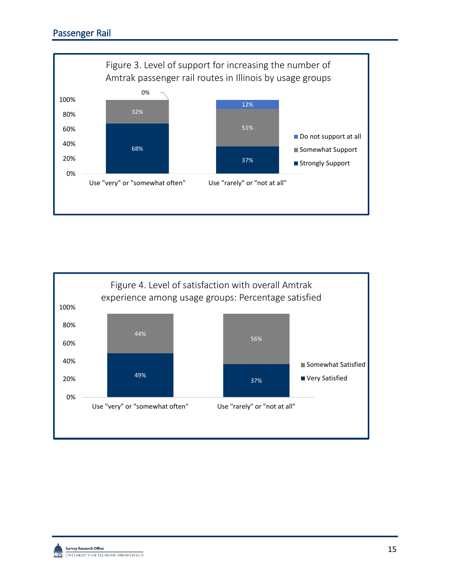

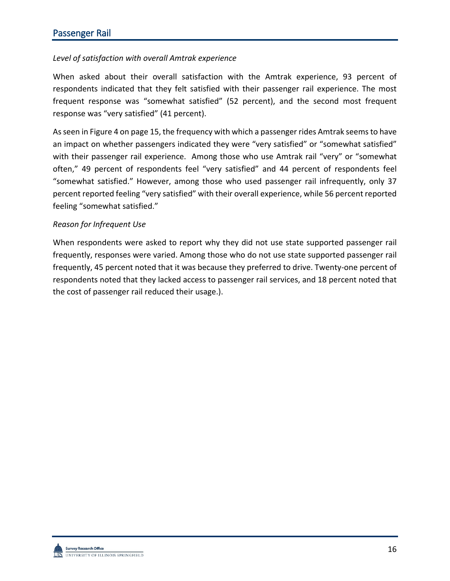## *Level of satisfaction with overall Amtrak experience*

When asked about their overall satisfaction with the Amtrak experience, 93 percent of respondents indicated that they felt satisfied with their passenger rail experience. The most frequent response was "somewhat satisfied" (52 percent), and the second most frequent response was "very satisfied" (41 percent).

As seen in Figure 4 on page 15, the frequency with which a passenger rides Amtrak seems to have an impact on whether passengers indicated they were "very satisfied" or "somewhat satisfied" with their passenger rail experience. Among those who use Amtrak rail "very" or "somewhat often," 49 percent of respondents feel "very satisfied" and 44 percent of respondents feel "somewhat satisfied." However, among those who used passenger rail infrequently, only 37 percent reported feeling "very satisfied" with their overall experience, while 56 percent reported feeling "somewhat satisfied."

#### *Reason for Infrequent Use*

When respondents were asked to report why they did not use state supported passenger rail frequently, responses were varied. Among those who do not use state supported passenger rail frequently, 45 percent noted that it was because they preferred to drive. Twenty-one percent of respondents noted that they lacked access to passenger rail services, and 18 percent noted that the cost of passenger rail reduced their usage.).

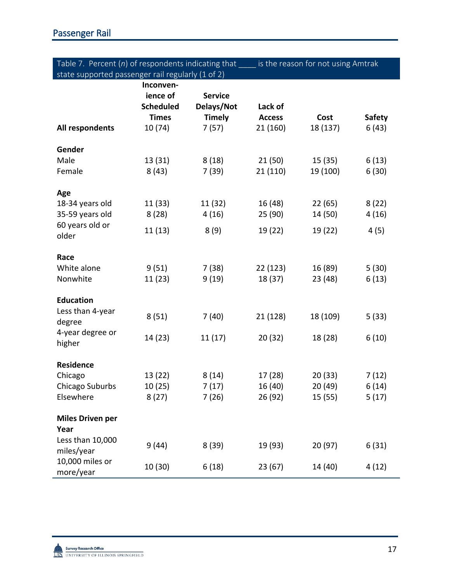| Table 7. Percent $(n)$ of respondents indicating that | is the reason for not using Amtrak |
|-------------------------------------------------------|------------------------------------|
| state supported passenger rail regularly (1 of 2)     |                                    |

|                                 | Inconven-<br>ience of<br><b>Scheduled</b> | <b>Service</b><br>Delays/Not | Lack of       |          |               |
|---------------------------------|-------------------------------------------|------------------------------|---------------|----------|---------------|
|                                 | <b>Times</b>                              | <b>Timely</b>                | <b>Access</b> | Cost     | <b>Safety</b> |
| All respondents                 | 10(74)                                    | 7(57)                        | 21 (160)      | 18 (137) | 6(43)         |
| Gender                          |                                           |                              |               |          |               |
| Male                            | 13 (31)                                   | 8(18)                        | 21(50)        | 15(35)   | 6(13)         |
| Female                          | 8(43)                                     | 7 (39)                       | 21 (110)      | 19 (100) | 6(30)         |
| Age                             |                                           |                              |               |          |               |
| 18-34 years old                 | 11(33)                                    | 11 (32)                      | 16 (48)       | 22(65)   | 8(22)         |
| 35-59 years old                 | 8(28)                                     | 4(16)                        | 25 (90)       | 14 (50)  | 4(16)         |
| 60 years old or                 | 11(13)                                    | 8(9)                         | 19 (22)       | 19 (22)  | 4(5)          |
| older                           |                                           |                              |               |          |               |
| Race                            |                                           |                              |               |          |               |
| White alone                     | 9(51)                                     | 7(38)                        | 22 (123)      | 16 (89)  | 5(30)         |
| Nonwhite                        | 11 (23)                                   | 9(19)                        | 18 (37)       | 23 (48)  | 6(13)         |
| <b>Education</b>                |                                           |                              |               |          |               |
| Less than 4-year                | 8(51)                                     | 7(40)                        | 21 (128)      | 18 (109) | 5(33)         |
| degree                          |                                           |                              |               |          |               |
| 4-year degree or<br>higher      | 14 (23)                                   | 11(17)                       | 20(32)        | 18 (28)  | 6(10)         |
|                                 |                                           |                              |               |          |               |
| <b>Residence</b>                |                                           |                              |               |          |               |
| Chicago                         | 13 (22)                                   | 8(14)                        | 17 (28)       | 20(33)   | 7(12)         |
| Chicago Suburbs                 | 10(25)                                    | 7(17)                        | 16 (40)       | 20 (49)  | 6(14)         |
| Elsewhere                       | 8(27)                                     | 7(26)                        | 26 (92)       | 15(55)   | 5(17)         |
| <b>Miles Driven per</b><br>Year |                                           |                              |               |          |               |
| Less than 10,000<br>miles/year  | 9(44)                                     | 8(39)                        | 19 (93)       | 20 (97)  | 6(31)         |
| 10,000 miles or<br>more/year    | 10(30)                                    | 6(18)                        | 23(67)        | 14 (40)  | 4(12)         |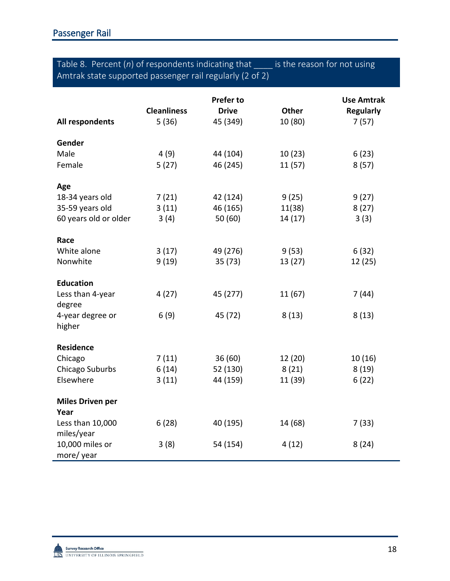# Table 8. Percent (*n*) of respondents indicating that \_\_\_\_ is the reason for not using Amtrak state supported passenger rail regularly (2 of 2)

|                         |                    | <b>Prefer to</b> |              | <b>Use Amtrak</b> |
|-------------------------|--------------------|------------------|--------------|-------------------|
|                         | <b>Cleanliness</b> | <b>Drive</b>     | <b>Other</b> | <b>Regularly</b>  |
| All respondents         | 5(36)              | 45 (349)         | 10 (80)      | 7(57)             |
| Gender                  |                    |                  |              |                   |
| Male                    | 4(9)               | 44 (104)         | 10(23)       | 6(23)             |
| Female                  | 5(27)              | 46 (245)         | 11(57)       | 8(57)             |
|                         |                    |                  |              |                   |
| Age                     |                    |                  |              |                   |
| 18-34 years old         | 7(21)              | 42 (124)         | 9(25)        | 9(27)             |
| 35-59 years old         | 3(11)              | 46 (165)         | 11(38)       | 8(27)             |
| 60 years old or older   | 3(4)               | 50(60)           | 14(17)       | 3(3)              |
|                         |                    |                  |              |                   |
| Race                    |                    |                  |              |                   |
| White alone             | 3(17)              | 49 (276)         | 9(53)        | 6(32)             |
| Nonwhite                | 9(19)              | 35(73)           | 13 (27)      | 12(25)            |
|                         |                    |                  |              |                   |
| <b>Education</b>        |                    |                  |              |                   |
| Less than 4-year        | 4 (27)             | 45 (277)         | 11(67)       | 7(44)             |
| degree                  |                    |                  |              |                   |
| 4-year degree or        | 6(9)               | 45 (72)          | 8(13)        | 8(13)             |
| higher                  |                    |                  |              |                   |
| <b>Residence</b>        |                    |                  |              |                   |
| Chicago                 | 7(11)              | 36(60)           | 12 (20)      | 10(16)            |
| Chicago Suburbs         | 6(14)              | 52 (130)         | 8(21)        | 8(19)             |
| Elsewhere               | 3(11)              | 44 (159)         | 11 (39)      | 6(22)             |
|                         |                    |                  |              |                   |
| <b>Miles Driven per</b> |                    |                  |              |                   |
| Year                    |                    |                  |              |                   |
| Less than 10,000        | 6(28)              | 40 (195)         | 14 (68)      | 7(33)             |
| miles/year              |                    |                  |              |                   |
| 10,000 miles or         | 3(8)               | 54 (154)         | 4(12)        | 8(24)             |
| more/year               |                    |                  |              |                   |

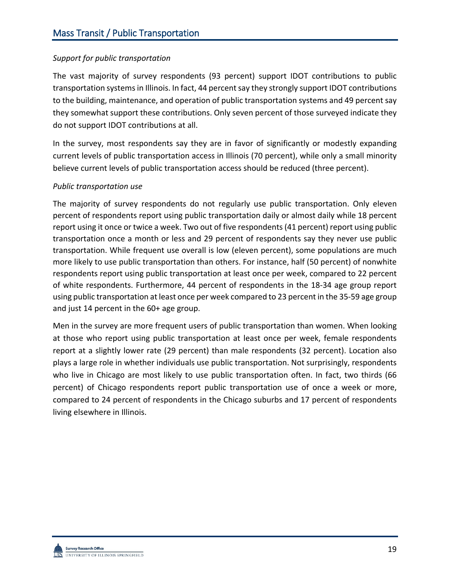## *Support for public transportation*

The vast majority of survey respondents (93 percent) support IDOT contributions to public transportation systems in Illinois. In fact, 44 percentsay they strongly support IDOT contributions to the building, maintenance, and operation of public transportation systems and 49 percent say they somewhat support these contributions. Only seven percent of those surveyed indicate they do not support IDOT contributions at all.

In the survey, most respondents say they are in favor of significantly or modestly expanding current levels of public transportation access in Illinois (70 percent), while only a small minority believe current levels of public transportation access should be reduced (three percent).

### *Public transportation use*

The majority of survey respondents do not regularly use public transportation. Only eleven percent of respondents report using public transportation daily or almost daily while 18 percent report using it once or twice a week. Two out of five respondents (41 percent) report using public transportation once a month or less and 29 percent of respondents say they never use public transportation. While frequent use overall is low (eleven percent), some populations are much more likely to use public transportation than others. For instance, half (50 percent) of nonwhite respondents report using public transportation at least once per week, compared to 22 percent of white respondents. Furthermore, 44 percent of respondents in the 18-34 age group report using public transportation at least once per week compared to 23 percent in the 35-59 age group and just 14 percent in the 60+ age group.

Men in the survey are more frequent users of public transportation than women. When looking at those who report using public transportation at least once per week, female respondents report at a slightly lower rate (29 percent) than male respondents (32 percent). Location also plays a large role in whether individuals use public transportation. Not surprisingly, respondents who live in Chicago are most likely to use public transportation often. In fact, two thirds (66 percent) of Chicago respondents report public transportation use of once a week or more, compared to 24 percent of respondents in the Chicago suburbs and 17 percent of respondents living elsewhere in Illinois.

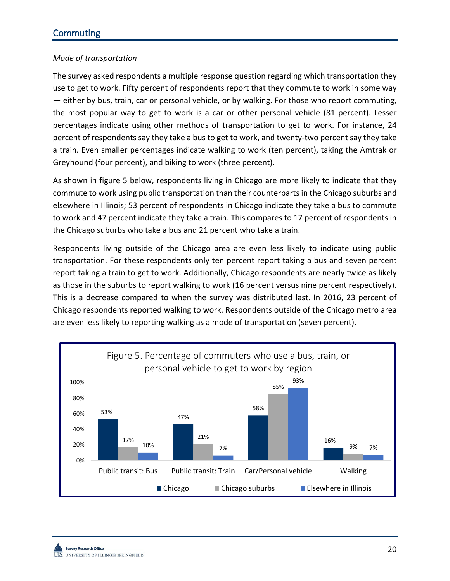## *Mode of transportation*

The survey asked respondents a multiple response question regarding which transportation they use to get to work. Fifty percent of respondents report that they commute to work in some way — either by bus, train, car or personal vehicle, or by walking. For those who report commuting, the most popular way to get to work is a car or other personal vehicle (81 percent). Lesser percentages indicate using other methods of transportation to get to work. For instance, 24 percent of respondents say they take a bus to get to work, and twenty-two percent say they take a train. Even smaller percentages indicate walking to work (ten percent), taking the Amtrak or Greyhound (four percent), and biking to work (three percent).

As shown in figure 5 below, respondents living in Chicago are more likely to indicate that they commute to work using public transportation than their counterparts in the Chicago suburbs and elsewhere in Illinois; 53 percent of respondents in Chicago indicate they take a bus to commute to work and 47 percent indicate they take a train. This compares to 17 percent of respondents in the Chicago suburbs who take a bus and 21 percent who take a train.

Respondents living outside of the Chicago area are even less likely to indicate using public transportation. For these respondents only ten percent report taking a bus and seven percent report taking a train to get to work. Additionally, Chicago respondents are nearly twice as likely as those in the suburbs to report walking to work (16 percent versus nine percent respectively). This is a decrease compared to when the survey was distributed last. In 2016, 23 percent of Chicago respondents reported walking to work. Respondents outside of the Chicago metro area are even less likely to reporting walking as a mode of transportation (seven percent).

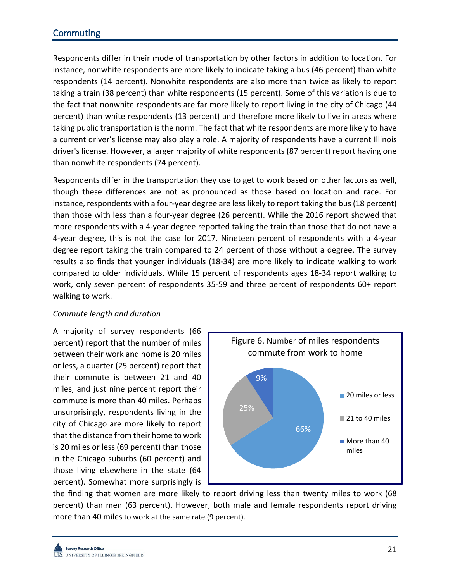# **Commuting**

Respondents differ in their mode of transportation by other factors in addition to location. For instance, nonwhite respondents are more likely to indicate taking a bus (46 percent) than white respondents (14 percent). Nonwhite respondents are also more than twice as likely to report taking a train (38 percent) than white respondents (15 percent). Some of this variation is due to the fact that nonwhite respondents are far more likely to report living in the city of Chicago (44 percent) than white respondents (13 percent) and therefore more likely to live in areas where taking public transportation is the norm. The fact that white respondents are more likely to have a current driver's license may also play a role. A majority of respondents have a current Illinois driver's license. However, a larger majority of white respondents (87 percent) report having one than nonwhite respondents (74 percent).

Respondents differ in the transportation they use to get to work based on other factors as well, though these differences are not as pronounced as those based on location and race. For instance, respondents with a four-year degree are less likely to report taking the bus (18 percent) than those with less than a four-year degree (26 percent). While the 2016 report showed that more respondents with a 4-year degree reported taking the train than those that do not have a 4-year degree, this is not the case for 2017. Nineteen percent of respondents with a 4-year degree report taking the train compared to 24 percent of those without a degree. The survey results also finds that younger individuals (18-34) are more likely to indicate walking to work compared to older individuals. While 15 percent of respondents ages 18-34 report walking to work, only seven percent of respondents 35-59 and three percent of respondents 60+ report walking to work.

### *Commute length and duration*

A majority of survey respondents (66 percent) report that the number of miles between their work and home is 20 miles or less, a quarter (25 percent) report that their commute is between 21 and 40 miles, and just nine percent report their commute is more than 40 miles. Perhaps unsurprisingly, respondents living in the city of Chicago are more likely to report that the distance from their home to work is 20 miles or less (69 percent) than those in the Chicago suburbs (60 percent) and those living elsewhere in the state (64 percent). Somewhat more surprisingly is



the finding that women are more likely to report driving less than twenty miles to work (68 percent) than men (63 percent). However, both male and female respondents report driving more than 40 miles to work at the same rate (9 percent).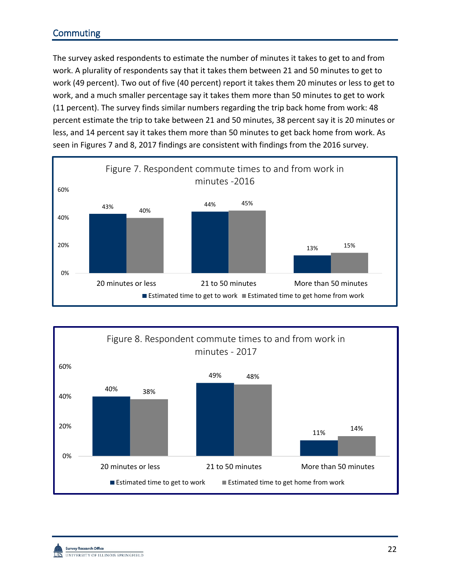# **Commuting**

The survey asked respondents to estimate the number of minutes it takes to get to and from work. A plurality of respondents say that it takes them between 21 and 50 minutes to get to work (49 percent). Two out of five (40 percent) report it takes them 20 minutes or less to get to work, and a much smaller percentage say it takes them more than 50 minutes to get to work (11 percent). The survey finds similar numbers regarding the trip back home from work: 48 percent estimate the trip to take between 21 and 50 minutes, 38 percent say it is 20 minutes or less, and 14 percent say it takes them more than 50 minutes to get back home from work. As seen in Figures 7 and 8, 2017 findings are consistent with findings from the 2016 survey.



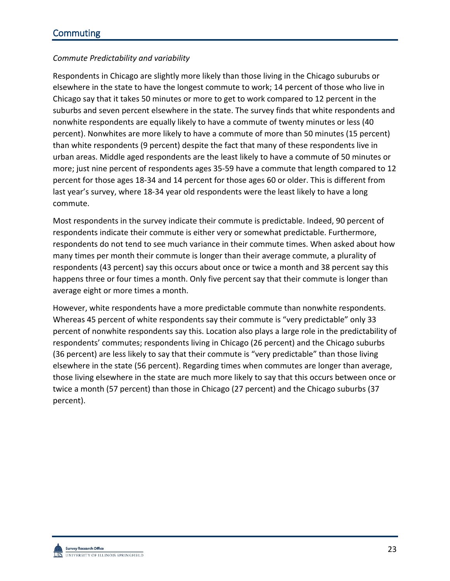## *Commute Predictability and variability*

Respondents in Chicago are slightly more likely than those living in the Chicago suburubs or elsewhere in the state to have the longest commute to work; 14 percent of those who live in Chicago say that it takes 50 minutes or more to get to work compared to 12 percent in the suburbs and seven percent elsewhere in the state. The survey finds that white respondents and nonwhite respondents are equally likely to have a commute of twenty minutes or less (40 percent). Nonwhites are more likely to have a commute of more than 50 minutes (15 percent) than white respondents (9 percent) despite the fact that many of these respondents live in urban areas. Middle aged respondents are the least likely to have a commute of 50 minutes or more; just nine percent of respondents ages 35-59 have a commute that length compared to 12 percent for those ages 18-34 and 14 percent for those ages 60 or older. This is different from last year's survey, where 18-34 year old respondents were the least likely to have a long commute.

Most respondents in the survey indicate their commute is predictable. Indeed, 90 percent of respondents indicate their commute is either very or somewhat predictable. Furthermore, respondents do not tend to see much variance in their commute times. When asked about how many times per month their commute is longer than their average commute, a plurality of respondents (43 percent) say this occurs about once or twice a month and 38 percent say this happens three or four times a month. Only five percent say that their commute is longer than average eight or more times a month.

However, white respondents have a more predictable commute than nonwhite respondents. Whereas 45 percent of white respondents say their commute is "very predictable" only 33 percent of nonwhite respondents say this. Location also plays a large role in the predictability of respondents' commutes; respondents living in Chicago (26 percent) and the Chicago suburbs (36 percent) are less likely to say that their commute is "very predictable" than those living elsewhere in the state (56 percent). Regarding times when commutes are longer than average, those living elsewhere in the state are much more likely to say that this occurs between once or twice a month (57 percent) than those in Chicago (27 percent) and the Chicago suburbs (37 percent).

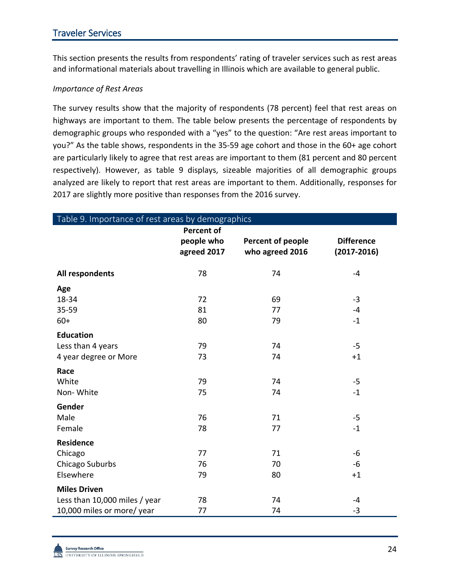This section presents the results from respondents' rating of traveler services such as rest areas and informational materials about travelling in Illinois which are available to general public.

#### *Importance of Rest Areas*

The survey results show that the majority of respondents (78 percent) feel that rest areas on highways are important to them. The table below presents the percentage of respondents by demographic groups who responded with a "yes" to the question: "Are rest areas important to you?" As the table shows, respondents in the 35-59 age cohort and those in the 60+ age cohort are particularly likely to agree that rest areas are important to them (81 percent and 80 percent respectively). However, as table 9 displays, sizeable majorities of all demographic groups analyzed are likely to report that rest areas are important to them. Additionally, responses for 2017 are slightly more positive than responses from the 2016 survey.

| Table 9. Importance of rest areas by demographics                                  |                                                |                                      |                                      |  |
|------------------------------------------------------------------------------------|------------------------------------------------|--------------------------------------|--------------------------------------|--|
|                                                                                    | <b>Percent of</b><br>people who<br>agreed 2017 | Percent of people<br>who agreed 2016 | <b>Difference</b><br>$(2017 - 2016)$ |  |
| All respondents                                                                    | 78                                             | 74                                   | $-4$                                 |  |
| Age<br>18-34<br>35-59                                                              | 72<br>81                                       | 69<br>77                             | $-3$<br>$-4$                         |  |
| $60+$                                                                              | 80                                             | 79                                   | $-1$                                 |  |
| <b>Education</b><br>Less than 4 years<br>4 year degree or More                     | 79<br>73                                       | 74<br>74                             | $-5$<br>$+1$                         |  |
| Race<br>White<br>Non-White                                                         | 79<br>75                                       | 74<br>74                             | $-5$<br>$-1$                         |  |
| Gender<br>Male<br>Female                                                           | 76<br>78                                       | 71<br>77                             | $-5$<br>$-1$                         |  |
| <b>Residence</b><br>Chicago<br>Chicago Suburbs<br>Elsewhere                        | 77<br>76<br>79                                 | 71<br>70<br>80                       | $-6$<br>-6<br>$+1$                   |  |
| <b>Miles Driven</b><br>Less than 10,000 miles / year<br>10,000 miles or more/ year | 78<br>77                                       | 74<br>74                             | -4<br>$-3$                           |  |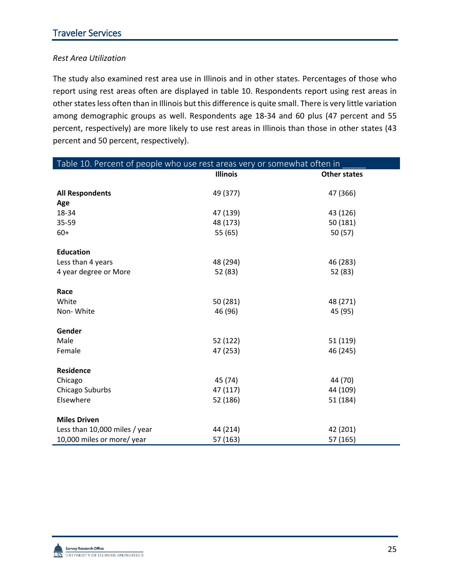## *Rest Area Utilization*

The study also examined rest area use in Illinois and in other states. Percentages of those who report using rest areas often are displayed in table 10. Respondents report using rest areas in other states less often than in Illinois but this difference is quite small. There is very little variation among demographic groups as well. Respondents age 18-34 and 60 plus (47 percent and 55 percent, respectively) are more likely to use rest areas in Illinois than those in other states (43 percent and 50 percent, respectively).

| Table 10. Percent of people who use rest areas very or somewhat often in |                 |                     |  |  |
|--------------------------------------------------------------------------|-----------------|---------------------|--|--|
|                                                                          | <b>Illinois</b> | <b>Other states</b> |  |  |
| <b>All Respondents</b>                                                   | 49 (377)        | 47 (366)            |  |  |
| Age                                                                      |                 |                     |  |  |
| 18-34                                                                    | 47 (139)        | 43 (126)            |  |  |
| 35-59                                                                    | 48 (173)        | 50 (181)            |  |  |
| $60+$                                                                    | 55 (65)         | 50(57)              |  |  |
|                                                                          |                 |                     |  |  |
| <b>Education</b>                                                         |                 |                     |  |  |
| Less than 4 years                                                        | 48 (294)        | 46 (283)            |  |  |
| 4 year degree or More                                                    | 52 (83)         | 52 (83)             |  |  |
|                                                                          |                 |                     |  |  |
| Race                                                                     |                 |                     |  |  |
| White                                                                    | 50 (281)        | 48 (271)            |  |  |
| Non-White                                                                | 46 (96)         | 45 (95)             |  |  |
|                                                                          |                 |                     |  |  |
| Gender                                                                   |                 |                     |  |  |
| Male                                                                     | 52 (122)        | 51 (119)            |  |  |
| Female                                                                   | 47 (253)        | 46 (245)            |  |  |
|                                                                          |                 |                     |  |  |
| Residence                                                                |                 |                     |  |  |
| Chicago                                                                  | 45 (74)         | 44 (70)             |  |  |
| Chicago Suburbs                                                          | 47 (117)        | 44 (109)            |  |  |
| Elsewhere                                                                | 52 (186)        | 51 (184)            |  |  |
|                                                                          |                 |                     |  |  |
| <b>Miles Driven</b>                                                      |                 |                     |  |  |
| Less than 10,000 miles / year                                            | 44 (214)        | 42 (201)            |  |  |
| 10,000 miles or more/ year                                               | 57 (163)        | 57 (165)            |  |  |

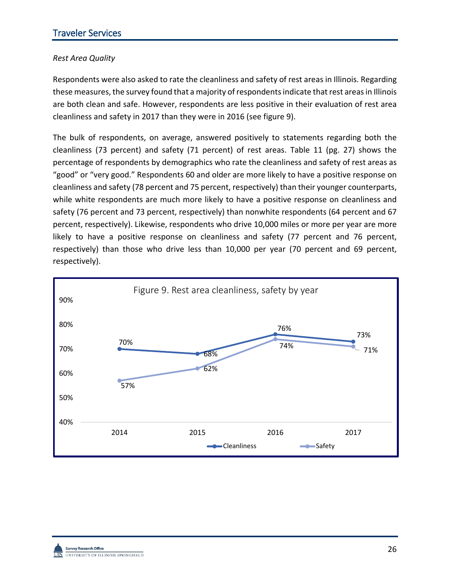## *Rest Area Quality*

Respondents were also asked to rate the cleanliness and safety of rest areas in Illinois. Regarding these measures, the survey found that a majority of respondents indicate that rest areas in Illinois are both clean and safe. However, respondents are less positive in their evaluation of rest area cleanliness and safety in 2017 than they were in 2016 (see figure 9).

The bulk of respondents, on average, answered positively to statements regarding both the cleanliness (73 percent) and safety (71 percent) of rest areas. Table 11 (pg. 27) shows the percentage of respondents by demographics who rate the cleanliness and safety of rest areas as "good" or "very good." Respondents 60 and older are more likely to have a positive response on cleanliness and safety (78 percent and 75 percent, respectively) than their younger counterparts, while white respondents are much more likely to have a positive response on cleanliness and safety (76 percent and 73 percent, respectively) than nonwhite respondents (64 percent and 67 percent, respectively). Likewise, respondents who drive 10,000 miles or more per year are more likely to have a positive response on cleanliness and safety (77 percent and 76 percent, respectively) than those who drive less than 10,000 per year (70 percent and 69 percent, respectively).

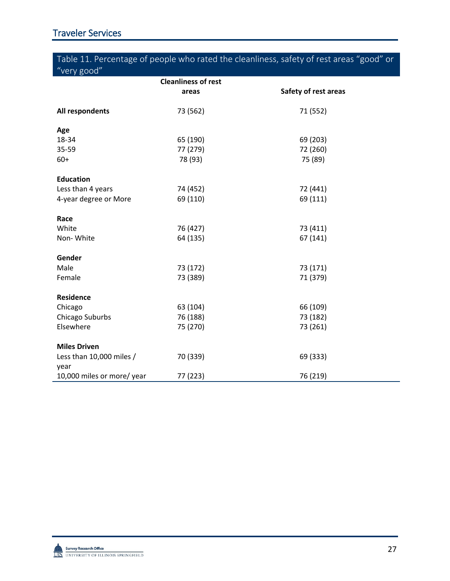# Table 11. Percentage of people who rated the cleanliness, safety of rest areas "good" or "very good"

|                                  | <b>Cleanliness of rest</b> |                      |
|----------------------------------|----------------------------|----------------------|
|                                  | areas                      | Safety of rest areas |
| All respondents                  | 73 (562)                   | 71 (552)             |
| Age                              |                            |                      |
| 18-34                            | 65 (190)                   | 69 (203)             |
| 35-59                            | 77 (279)                   | 72 (260)             |
| $60+$                            | 78 (93)                    | 75 (89)              |
| <b>Education</b>                 |                            |                      |
| Less than 4 years                | 74 (452)                   | 72 (441)             |
| 4-year degree or More            | 69 (110)                   | 69 (111)             |
| Race                             |                            |                      |
| White                            | 76 (427)                   | 73 (411)             |
| Non-White                        | 64 (135)                   | 67 (141)             |
|                                  |                            |                      |
| Gender                           |                            |                      |
| Male                             | 73 (172)                   | 73 (171)             |
| Female                           | 73 (389)                   | 71 (379)             |
| <b>Residence</b>                 |                            |                      |
| Chicago                          | 63 (104)                   | 66 (109)             |
| Chicago Suburbs                  | 76 (188)                   | 73 (182)             |
| Elsewhere                        | 75 (270)                   | 73 (261)             |
|                                  |                            |                      |
| <b>Miles Driven</b>              |                            |                      |
| Less than 10,000 miles /<br>year | 70 (339)                   | 69 (333)             |
| 10,000 miles or more/ year       | 77 (223)                   | 76 (219)             |

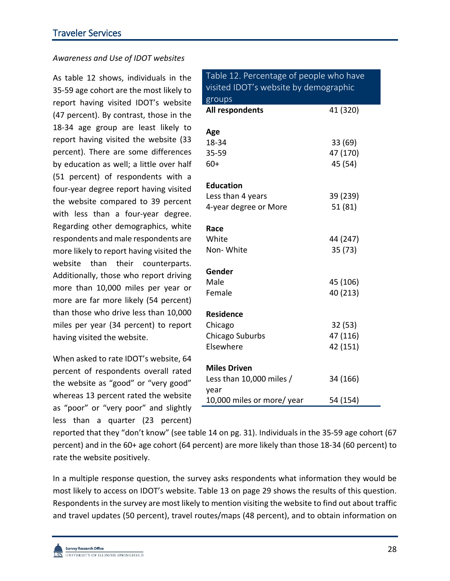### *Awareness and Use of IDOT websites*

As table 12 shows, individuals in the 35-59 age cohort are the most likely to report having visited IDOT's website (47 percent). By contrast, those in the 18-34 age group are least likely to report having visited the website (33 percent). There are some differences by education as well; a little over half (51 percent) of respondents with a four-year degree report having visited the website compared to 39 percent with less than a four-year degree. Regarding other demographics, white respondents and male respondents are more likely to report having visited the website than their counterparts. Additionally, those who report driving more than 10,000 miles per year or more are far more likely (54 percent) than those who drive less than 10,000 miles per year (34 percent) to report having visited the website.

When asked to rate IDOT's website, 64 percent of respondents overall rated the website as "good" or "very good" whereas 13 percent rated the website as "poor" or "very poor" and slightly less than a quarter (23 percent)

| Table 12. Percentage of people who have<br>visited IDOT's website by demographic |          |
|----------------------------------------------------------------------------------|----------|
| groups<br>All respondents                                                        | 41 (320) |
|                                                                                  |          |
| Age                                                                              |          |
| 18-34                                                                            | 33 (69)  |
| 35-59                                                                            | 47 (170) |
| 60+                                                                              | 45 (54)  |
| <b>Education</b>                                                                 |          |
| Less than 4 years                                                                | 39 (239) |
| 4-year degree or More                                                            | 51 (81)  |
| Race                                                                             |          |
| White                                                                            | 44 (247) |
| Non-White                                                                        | 35 (73)  |
| Gender                                                                           |          |
| Male                                                                             | 45 (106) |
| Female                                                                           | 40 (213) |
| Residence                                                                        |          |
| Chicago                                                                          | 32 (53)  |
| Chicago Suburbs                                                                  | 47 (116) |
| Elsewhere                                                                        | 42 (151) |
| <b>Miles Driven</b>                                                              |          |
| Less than 10,000 miles /                                                         | 34 (166) |
| year                                                                             |          |
| 10,000 miles or more/year                                                        | 54 (154) |

reported that they "don't know" (see table 14 on pg. 31). Individuals in the 35-59 age cohort (67 percent) and in the 60+ age cohort (64 percent) are more likely than those 18-34 (60 percent) to rate the website positively.

In a multiple response question, the survey asks respondents what information they would be most likely to access on IDOT's website. Table 13 on page 29 shows the results of this question. Respondents in the survey are most likely to mention visiting the website to find out about traffic and travel updates (50 percent), travel routes/maps (48 percent), and to obtain information on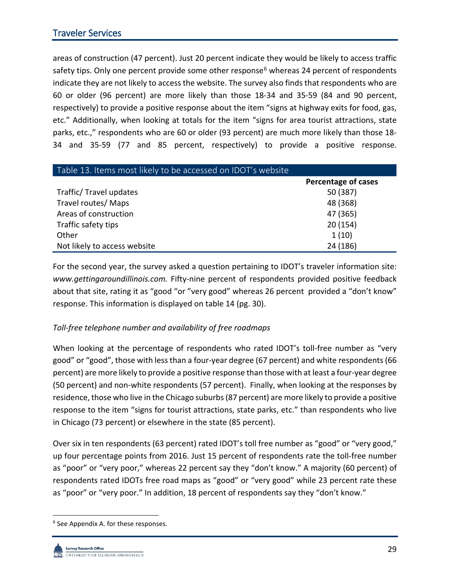areas of construction (47 percent). Just 20 percent indicate they would be likely to access traffic safety tips. Only one percent provide some other response<sup>[6](#page-30-0)</sup> whereas 24 percent of respondents indicate they are not likely to access the website. The survey also finds that respondents who are 60 or older (96 percent) are more likely than those 18-34 and 35-59 (84 and 90 percent, respectively) to provide a positive response about the item "signs at highway exits for food, gas, etc." Additionally, when looking at totals for the item "signs for area tourist attractions, state parks, etc.," respondents who are 60 or older (93 percent) are much more likely than those 18- 34 and 35-59 (77 and 85 percent, respectively) to provide a positive response.

| Table 13. Items most likely to be accessed on IDOT's website |                     |  |  |  |
|--------------------------------------------------------------|---------------------|--|--|--|
|                                                              | Percentage of cases |  |  |  |
| Traffic/ Travel updates                                      | 50 (387)            |  |  |  |
| Travel routes/ Maps                                          | 48 (368)            |  |  |  |
| Areas of construction                                        | 47 (365)            |  |  |  |
| Traffic safety tips                                          | 20(154)             |  |  |  |
| Other                                                        | 1(10)               |  |  |  |
| Not likely to access website                                 | 24 (186)            |  |  |  |

For the second year, the survey asked a question pertaining to IDOT's traveler information site: *[www.gettingaroundillinois.com.](http://www.gettingaroundillinois.com/)* Fifty-nine percent of respondents provided positive feedback about that site, rating it as "good "or "very good" whereas 26 percent provided a "don't know" response. This information is displayed on table 14 (pg. 30).

### *Toll-free telephone number and availability of free roadmaps*

When looking at the percentage of respondents who rated IDOT's toll-free number as "very good" or "good", those with less than a four-year degree (67 percent) and white respondents (66 percent) are more likely to provide a positive response than those with at least a four-year degree (50 percent) and non-white respondents (57 percent). Finally, when looking at the responses by residence, those who live in the Chicago suburbs (87 percent) are more likely to provide a positive response to the item "signs for tourist attractions, state parks, etc." than respondents who live in Chicago (73 percent) or elsewhere in the state (85 percent).

Over six in ten respondents (63 percent) rated IDOT's toll free number as "good" or "very good," up four percentage points from 2016. Just 15 percent of respondents rate the toll-free number as "poor" or "very poor," whereas 22 percent say they "don't know." A majority (60 percent) of respondents rated IDOTs free road maps as "good" or "very good" while 23 percent rate these as "poor" or "very poor." In addition, 18 percent of respondents say they "don't know."

<span id="page-30-0"></span> <sup>6</sup> See Appendix A. for these responses.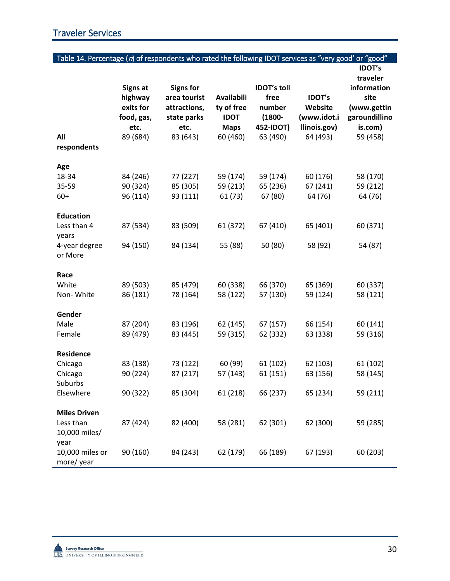| Table 14. Percentage (n) of respondents who rated the following IDOT services as "very good' or "good" |                                                                           |                                                                                     |                                                                           |                                                                            |                                                                     |                                                                                                         |
|--------------------------------------------------------------------------------------------------------|---------------------------------------------------------------------------|-------------------------------------------------------------------------------------|---------------------------------------------------------------------------|----------------------------------------------------------------------------|---------------------------------------------------------------------|---------------------------------------------------------------------------------------------------------|
| All                                                                                                    | <b>Signs at</b><br>highway<br>exits for<br>food, gas,<br>etc.<br>89 (684) | <b>Signs for</b><br>area tourist<br>attractions,<br>state parks<br>etc.<br>83 (643) | <b>Availabili</b><br>ty of free<br><b>IDOT</b><br><b>Maps</b><br>60 (460) | <b>IDOT's toll</b><br>free<br>number<br>$(1800 -$<br>452-IDOT)<br>63 (490) | <b>IDOT's</b><br>Website<br>(www.idot.i<br>llinois.gov)<br>64 (493) | <b>IDOT's</b><br>traveler<br>information<br>site<br>(www.gettin<br>garoundillino<br>is.com)<br>59 (458) |
| respondents                                                                                            |                                                                           |                                                                                     |                                                                           |                                                                            |                                                                     |                                                                                                         |
| Age<br>18-34<br>35-59<br>$60+$                                                                         | 84 (246)<br>90 (324)<br>96 (114)                                          | 77 (227)<br>85 (305)<br>93 (111)                                                    | 59 (174)<br>59 (213)<br>61(73)                                            | 59 (174)<br>65 (236)<br>67 (80)                                            | 60 (176)<br>67 (241)<br>64 (76)                                     | 58 (170)<br>59 (212)<br>64 (76)                                                                         |
| <b>Education</b><br>Less than 4<br>years<br>4-year degree<br>or More                                   | 87 (534)<br>94 (150)                                                      | 83 (509)<br>84 (134)                                                                | 61 (372)<br>55 (88)                                                       | 67 (410)<br>50 (80)                                                        | 65 (401)<br>58 (92)                                                 | 60 (371)<br>54 (87)                                                                                     |
| Race<br>White<br>Non-White                                                                             | 89 (503)<br>86 (181)                                                      | 85 (479)<br>78 (164)                                                                | 60 (338)<br>58 (122)                                                      | 66 (370)<br>57 (130)                                                       | 65 (369)<br>59 (124)                                                | 60 (337)<br>58 (121)                                                                                    |
| Gender<br>Male<br>Female                                                                               | 87 (204)<br>89 (479)                                                      | 83 (196)<br>83 (445)                                                                | 62 (145)<br>59 (315)                                                      | 67 (157)<br>62 (332)                                                       | 66 (154)<br>63 (338)                                                | 60 (141)<br>59 (316)                                                                                    |
| Residence<br>Chicago<br>Chicago<br>Suburbs<br>Elsewhere                                                | 83 (138)<br>90 (224)<br>90 (322)                                          | 73 (122)<br>87 (217)<br>85 (304)                                                    | 60 (99)<br>57 (143)<br>61 (218)                                           | 61 (102)<br>61 (151)<br>66 (237)                                           | 62 (103)<br>63 (156)<br>65 (234)                                    | 61 (102)<br>58 (145)<br>59 (211)                                                                        |
| <b>Miles Driven</b><br>Less than<br>10,000 miles/<br>year<br>10,000 miles or                           | 87 (424)<br>90 (160)                                                      | 82 (400)<br>84 (243)                                                                | 58 (281)<br>62 (179)                                                      | 62 (301)<br>66 (189)                                                       | 62 (300)<br>67 (193)                                                | 59 (285)<br>60 (203)                                                                                    |
| more/year                                                                                              |                                                                           |                                                                                     |                                                                           |                                                                            |                                                                     |                                                                                                         |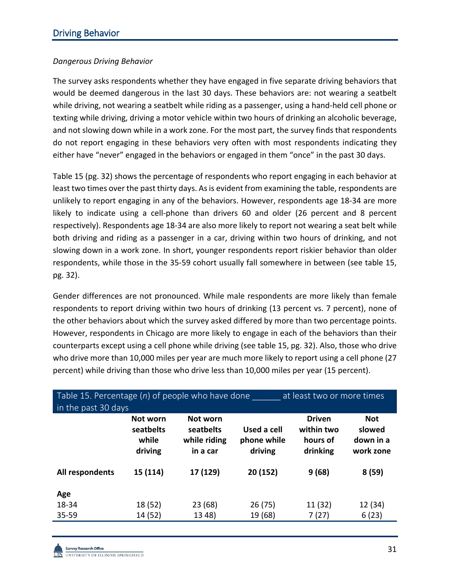### *Dangerous Driving Behavior*

The survey asks respondents whether they have engaged in five separate driving behaviors that would be deemed dangerous in the last 30 days. These behaviors are: not wearing a seatbelt while driving, not wearing a seatbelt while riding as a passenger, using a hand-held cell phone or texting while driving, driving a motor vehicle within two hours of drinking an alcoholic beverage, and not slowing down while in a work zone. For the most part, the survey finds that respondents do not report engaging in these behaviors very often with most respondents indicating they either have "never" engaged in the behaviors or engaged in them "once" in the past 30 days.

Table 15 (pg. 32) shows the percentage of respondents who report engaging in each behavior at least two times over the past thirty days. As is evident from examining the table, respondents are unlikely to report engaging in any of the behaviors. However, respondents age 18-34 are more likely to indicate using a cell-phone than drivers 60 and older (26 percent and 8 percent respectively). Respondents age 18-34 are also more likely to report not wearing a seat belt while both driving and riding as a passenger in a car, driving within two hours of drinking, and not slowing down in a work zone. In short, younger respondents report riskier behavior than older respondents, while those in the 35-59 cohort usually fall somewhere in between (see table 15, pg. 32).

Gender differences are not pronounced. While male respondents are more likely than female respondents to report driving within two hours of drinking (13 percent vs. 7 percent), none of the other behaviors about which the survey asked differed by more than two percentage points. However, respondents in Chicago are more likely to engage in each of the behaviors than their counterparts except using a cell phone while driving (see table 15, pg. 32). Also, those who drive who drive more than 10,000 miles per year are much more likely to report using a cell phone (27 percent) while driving than those who drive less than 10,000 miles per year (15 percent).

| Table 15. Percentage $(n)$ of people who have done<br>at least two or more times<br>in the past 30 days |                                           |                                                   |                                       |                                                     |                                                |  |  |
|---------------------------------------------------------------------------------------------------------|-------------------------------------------|---------------------------------------------------|---------------------------------------|-----------------------------------------------------|------------------------------------------------|--|--|
|                                                                                                         | Not worn<br>seatbelts<br>while<br>driving | Not worn<br>seatbelts<br>while riding<br>in a car | Used a cell<br>phone while<br>driving | <b>Driven</b><br>within two<br>hours of<br>drinking | <b>Not</b><br>slowed<br>down in a<br>work zone |  |  |
| All respondents                                                                                         | 15 (114)                                  | 17 (129)                                          | 20 (152)                              | 9(68)                                               | 8(59)                                          |  |  |
| Age                                                                                                     |                                           |                                                   |                                       |                                                     |                                                |  |  |
| 18-34                                                                                                   | 18 (52)                                   | 23 (68)                                           | 26(75)                                | 11 (32)                                             | 12 (34)                                        |  |  |
| 35-59                                                                                                   | 14 (52)                                   | 13 48)                                            | 19 (68)                               | 7(27)                                               | 6(23)                                          |  |  |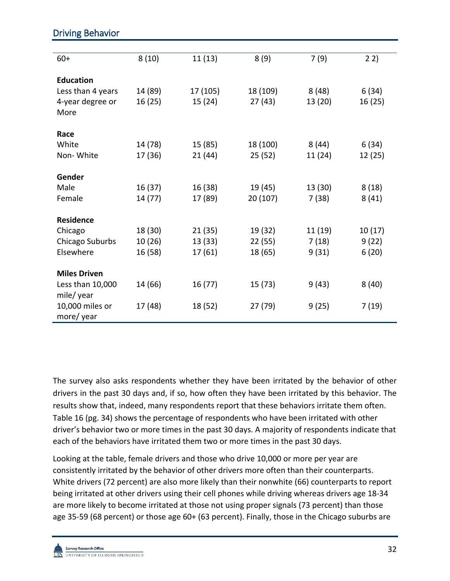| $60+$               | 8(10)   | 11(13)   | 8(9)     | 7(9)    | 22)     |
|---------------------|---------|----------|----------|---------|---------|
|                     |         |          |          |         |         |
| <b>Education</b>    |         |          |          |         |         |
| Less than 4 years   | 14 (89) | 17 (105) | 18 (109) | 8(48)   | 6(34)   |
| 4-year degree or    | 16(25)  | 15(24)   | 27(43)   | 13 (20) | 16 (25) |
| More                |         |          |          |         |         |
|                     |         |          |          |         |         |
| Race                |         |          |          |         |         |
| White               | 14 (78) | 15 (85)  | 18 (100) | 8(44)   | 6(34)   |
| Non-White           | 17 (36) | 21(44)   | 25(52)   | 11 (24) | 12 (25) |
|                     |         |          |          |         |         |
| Gender              |         |          |          |         |         |
| Male                | 16 (37) | 16 (38)  | 19 (45)  | 13 (30) | 8(18)   |
| Female              | 14 (77) | 17 (89)  | 20 (107) | 7(38)   | 8(41)   |
|                     |         |          |          |         |         |
| <b>Residence</b>    |         |          |          |         |         |
| Chicago             | 18 (30) | 21(35)   | 19 (32)  | 11 (19) | 10(17)  |
| Chicago Suburbs     | 10 (26) | 13 (33)  | 22 (55)  | 7(18)   | 9(22)   |
| Elsewhere           | 16 (58) | 17 (61)  | 18 (65)  | 9(31)   | 6(20)   |
|                     |         |          |          |         |         |
| <b>Miles Driven</b> |         |          |          |         |         |
| Less than 10,000    | 14 (66) | 16 (77)  | 15 (73)  | 9 (43)  | 8(40)   |
| mile/year           |         |          |          |         |         |
| 10,000 miles or     | 17 (48) | 18 (52)  | 27 (79)  | 9(25)   | 7(19)   |
| more/year           |         |          |          |         |         |

# Driving Behavior

The survey also asks respondents whether they have been irritated by the behavior of other drivers in the past 30 days and, if so, how often they have been irritated by this behavior. The results show that, indeed, many respondents report that these behaviors irritate them often. Table 16 (pg. 34) shows the percentage of respondents who have been irritated with other driver's behavior two or more times in the past 30 days. A majority of respondents indicate that each of the behaviors have irritated them two or more times in the past 30 days.

Looking at the table, female drivers and those who drive 10,000 or more per year are consistently irritated by the behavior of other drivers more often than their counterparts. White drivers (72 percent) are also more likely than their nonwhite (66) counterparts to report being irritated at other drivers using their cell phones while driving whereas drivers age 18-34 are more likely to become irritated at those not using proper signals (73 percent) than those age 35-59 (68 percent) or those age 60+ (63 percent). Finally, those in the Chicago suburbs are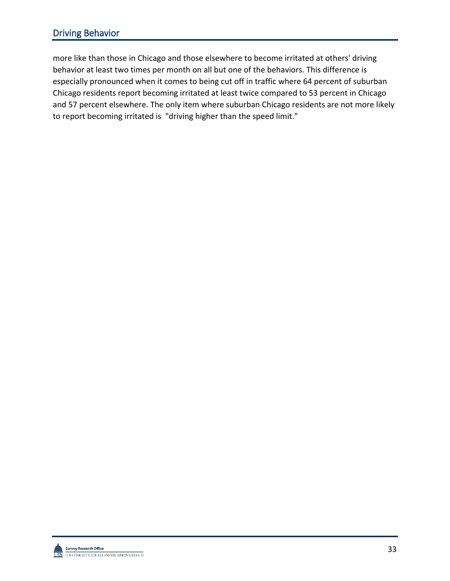# Driving Behavior

more like than those in Chicago and those elsewhere to become irritated at others' driving behavior at least two times per month on all but one of the behaviors. This difference is especially pronounced when it comes to being cut off in traffic where 64 percent of suburban Chicago residents report becoming irritated at least twice compared to 53 percent in Chicago and 57 percent elsewhere. The only item where suburban Chicago residents are not more likely to report becoming irritated is "driving higher than the speed limit."

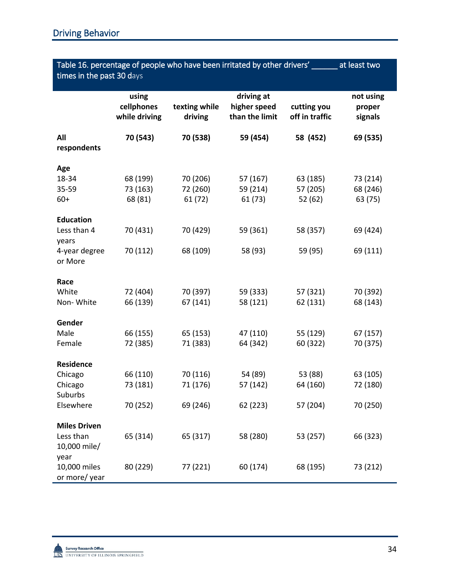| Table 16. percentage of people who have been irritated by other drivers'<br>at least two<br>times in the past 30 days |                                      |                          |                                              |                               |                                |
|-----------------------------------------------------------------------------------------------------------------------|--------------------------------------|--------------------------|----------------------------------------------|-------------------------------|--------------------------------|
|                                                                                                                       | using<br>cellphones<br>while driving | texting while<br>driving | driving at<br>higher speed<br>than the limit | cutting you<br>off in traffic | not using<br>proper<br>signals |
| All<br>respondents                                                                                                    | 70 (543)                             | 70 (538)                 | 59 (454)                                     | 58 (452)                      | 69 (535)                       |
| Age                                                                                                                   |                                      |                          |                                              |                               |                                |
| 18-34                                                                                                                 | 68 (199)                             | 70 (206)                 | 57 (167)                                     | 63 (185)                      | 73 (214)                       |
| 35-59                                                                                                                 | 73 (163)                             | 72 (260)                 | 59 (214)                                     | 57 (205)                      | 68 (246)                       |
| $60+$                                                                                                                 | 68 (81)                              | 61(72)                   | 61(73)                                       | 52(62)                        | 63 (75)                        |
| <b>Education</b>                                                                                                      |                                      |                          |                                              |                               |                                |
| Less than 4<br>years                                                                                                  | 70 (431)                             | 70 (429)                 | 59 (361)                                     | 58 (357)                      | 69 (424)                       |
| 4-year degree<br>or More                                                                                              | 70 (112)                             | 68 (109)                 | 58 (93)                                      | 59 (95)                       | 69 (111)                       |
|                                                                                                                       |                                      |                          |                                              |                               |                                |
| Race                                                                                                                  |                                      |                          |                                              |                               |                                |
| White                                                                                                                 | 72 (404)                             | 70 (397)                 | 59 (333)                                     | 57 (321)                      | 70 (392)                       |
| Non-White                                                                                                             | 66 (139)                             | 67 (141)                 | 58 (121)                                     | 62 (131)                      | 68 (143)                       |
| Gender                                                                                                                |                                      |                          |                                              |                               |                                |
| Male                                                                                                                  | 66 (155)                             | 65 (153)                 | 47 (110)                                     | 55 (129)                      | 67 (157)                       |
| Female                                                                                                                | 72 (385)                             | 71 (383)                 | 64 (342)                                     | 60 (322)                      | 70 (375)                       |
| <b>Residence</b>                                                                                                      |                                      |                          |                                              |                               |                                |
| Chicago                                                                                                               | 66 (110)                             | 70 (116)                 | 54 (89)                                      | 53 (88)                       | 63 (105)                       |
| Chicago                                                                                                               | 73 (181)                             | 71 (176)                 | 57 (142)                                     | 64 (160)                      | 72 (180)                       |
| Suburbs                                                                                                               |                                      |                          |                                              |                               |                                |
| Elsewhere                                                                                                             | 70 (252)                             | 69 (246)                 | 62 (223)                                     | 57 (204)                      | 70 (250)                       |
| <b>Miles Driven</b>                                                                                                   |                                      |                          |                                              |                               |                                |
| Less than                                                                                                             | 65 (314)                             | 65 (317)                 | 58 (280)                                     | 53 (257)                      | 66 (323)                       |
| 10,000 mile/                                                                                                          |                                      |                          |                                              |                               |                                |
| year<br>10,000 miles                                                                                                  |                                      |                          |                                              |                               | 73 (212)                       |
| or more/year                                                                                                          | 80 (229)                             | 77 (221)                 | 60 (174)                                     | 68 (195)                      |                                |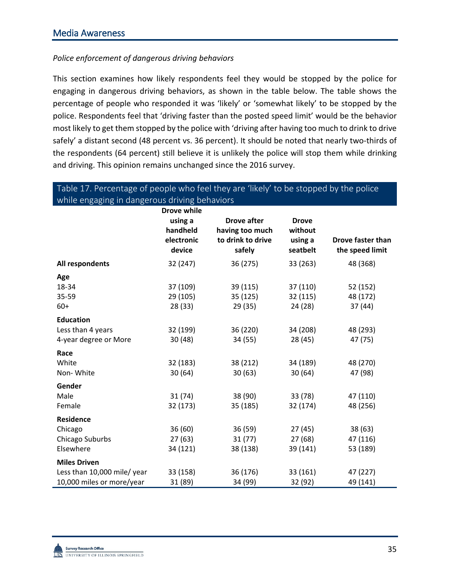## *Police enforcement of dangerous driving behaviors*

This section examines how likely respondents feel they would be stopped by the police for engaging in dangerous driving behaviors, as shown in the table below. The table shows the percentage of people who responded it was 'likely' or 'somewhat likely' to be stopped by the police. Respondents feel that 'driving faster than the posted speed limit' would be the behavior most likely to get them stopped by the police with 'driving after having too much to drink to drive safely' a distant second (48 percent vs. 36 percent). It should be noted that nearly two-thirds of the respondents (64 percent) still believe it is unlikely the police will stop them while drinking and driving. This opinion remains unchanged since the 2016 survey.

| while engaging in dangerous driving behaviors |                    |                    |              |                   |
|-----------------------------------------------|--------------------|--------------------|--------------|-------------------|
|                                               | <b>Drove while</b> |                    |              |                   |
|                                               | using a            | <b>Drove after</b> | <b>Drove</b> |                   |
|                                               | handheld           | having too much    | without      |                   |
|                                               | electronic         | to drink to drive  | using a      | Drove faster than |
|                                               | device             | safely             | seatbelt     | the speed limit   |
| All respondents                               | 32 (247)           | 36 (275)           | 33 (263)     | 48 (368)          |
| Age                                           |                    |                    |              |                   |
| 18-34                                         | 37 (109)           | 39 (115)           | 37 (110)     | 52 (152)          |
| 35-59                                         | 29 (105)           | 35 (125)           | 32 (115)     | 48 (172)          |
| $60+$                                         | 28 (33)            | 29 (35)            | 24 (28)      | 37(44)            |
| <b>Education</b>                              |                    |                    |              |                   |
| Less than 4 years                             | 32 (199)           | 36 (220)           | 34 (208)     | 48 (293)          |
| 4-year degree or More                         | 30(48)             | 34 (55)            | 28 (45)      | 47 (75)           |
| Race                                          |                    |                    |              |                   |
| White                                         | 32 (183)           | 38 (212)           | 34 (189)     | 48 (270)          |
| Non-White                                     | 30(64)             | 30(63)             | 30(64)       | 47 (98)           |
| Gender                                        |                    |                    |              |                   |
| Male                                          | 31(74)             | 38 (90)            | 33 (78)      | 47 (110)          |
| Female                                        | 32 (173)           | 35 (185)           | 32 (174)     | 48 (256)          |
| <b>Residence</b>                              |                    |                    |              |                   |
| Chicago                                       | 36 (60)            | 36 (59)            | 27(45)       | 38(63)            |
| Chicago Suburbs                               | 27(63)             | 31(77)             | 27(68)       | 47 (116)          |
| Elsewhere                                     | 34 (121)           | 38 (138)           | 39 (141)     | 53 (189)          |
| <b>Miles Driven</b>                           |                    |                    |              |                   |
| Less than 10,000 mile/ year                   | 33 (158)           | 36 (176)           | 33 (161)     | 47 (227)          |
| 10,000 miles or more/year                     | 31 (89)            | 34 (99)            | 32 (92)      | 49 (141)          |

## Table 17. Percentage of people who feel they are 'likely' to be stopped by the police while engaging in dangerous driving behaviors

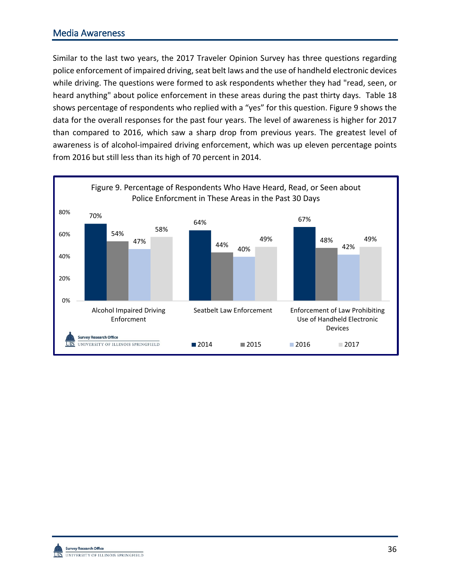## Media Awareness

Similar to the last two years, the 2017 Traveler Opinion Survey has three questions regarding police enforcement of impaired driving, seat belt laws and the use of handheld electronic devices while driving. The questions were formed to ask respondents whether they had "read, seen, or heard anything" about police enforcement in these areas during the past thirty days. Table 18 shows percentage of respondents who replied with a "yes" for this question. Figure 9 shows the data for the overall responses for the past four years. The level of awareness is higher for 2017 than compared to 2016, which saw a sharp drop from previous years. The greatest level of awareness is of alcohol-impaired driving enforcement, which was up eleven percentage points from 2016 but still less than its high of 70 percent in 2014.



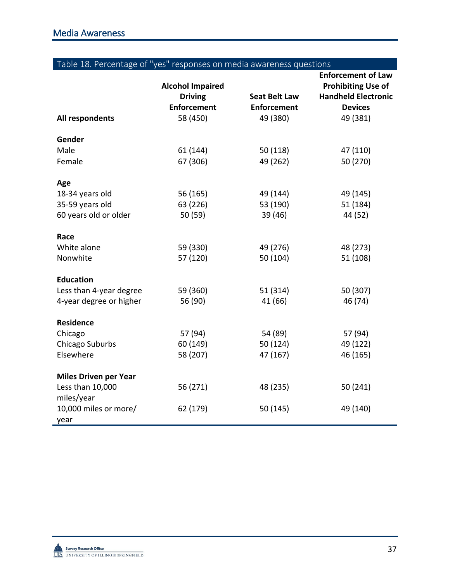| Table 18. Percentage of "yes" responses on media awareness questions |  |  |
|----------------------------------------------------------------------|--|--|
|                                                                      |  |  |

|                               | <b>Alcohol Impaired</b> |                      | <b>Enforcement of Law</b><br><b>Prohibiting Use of</b> |
|-------------------------------|-------------------------|----------------------|--------------------------------------------------------|
|                               | <b>Driving</b>          | <b>Seat Belt Law</b> | <b>Handheld Electronic</b>                             |
|                               | <b>Enforcement</b>      | <b>Enforcement</b>   | <b>Devices</b>                                         |
| All respondents               | 58 (450)                | 49 (380)             | 49 (381)                                               |
| Gender                        |                         |                      |                                                        |
| Male                          | 61 (144)                | 50(118)              | 47 (110)                                               |
| Female                        | 67 (306)                | 49 (262)             | 50 (270)                                               |
| Age                           |                         |                      |                                                        |
| 18-34 years old               | 56 (165)                | 49 (144)             | 49 (145)                                               |
| 35-59 years old               | 63 (226)                | 53 (190)             | 51 (184)                                               |
| 60 years old or older         | 50 (59)                 | 39 (46)              | 44 (52)                                                |
| Race                          |                         |                      |                                                        |
| White alone                   | 59 (330)                | 49 (276)             | 48 (273)                                               |
| Nonwhite                      | 57 (120)                | 50 (104)             | 51 (108)                                               |
| <b>Education</b>              |                         |                      |                                                        |
| Less than 4-year degree       | 59 (360)                | 51 (314)             | 50 (307)                                               |
| 4-year degree or higher       | 56 (90)                 | 41 (66)              | 46 (74)                                                |
| <b>Residence</b>              |                         |                      |                                                        |
| Chicago                       | 57 (94)                 | 54 (89)              | 57 (94)                                                |
| Chicago Suburbs               | 60 (149)                | 50 (124)             | 49 (122)                                               |
| Elsewhere                     | 58 (207)                | 47 (167)             | 46 (165)                                               |
| <b>Miles Driven per Year</b>  |                         |                      |                                                        |
| Less than 10,000              | 56 (271)                | 48 (235)             | 50 (241)                                               |
| miles/year                    |                         |                      |                                                        |
| 10,000 miles or more/<br>year | 62 (179)                | 50 (145)             | 49 (140)                                               |

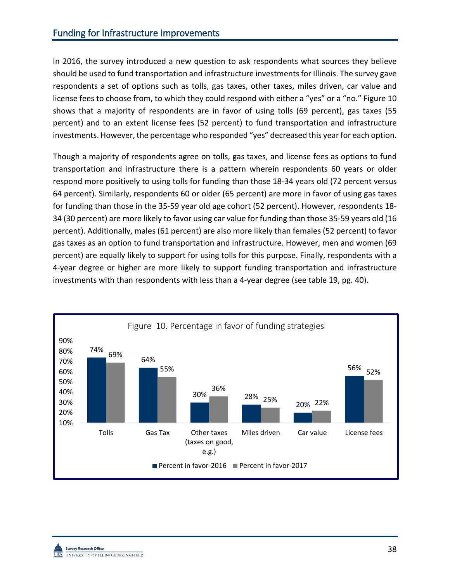In 2016, the survey introduced a new question to ask respondents what sources they believe should be used to fund transportation and infrastructure investments for Illinois. The survey gave respondents a set of options such as tolls, gas taxes, other taxes, miles driven, car value and license fees to choose from, to which they could respond with either a "yes" or a "no." Figure 10 shows that a majority of respondents are in favor of using tolls (69 percent), gas taxes (55 percent) and to an extent license fees (52 percent) to fund transportation and infrastructure investments. However, the percentage who responded "yes" decreased this year for each option.

Though a majority of respondents agree on tolls, gas taxes, and license fees as options to fund transportation and infrastructure there is a pattern wherein respondents 60 years or older respond more positively to using tolls for funding than those 18-34 years old (72 percent versus 64 percent). Similarly, respondents 60 or older (65 percent) are more in favor of using gas taxes for funding than those in the 35-59 year old age cohort (52 percent). However, respondents 18- 34 (30 percent) are more likely to favor using car value for funding than those 35-59 years old (16 percent). Additionally, males (61 percent) are also more likely than females (52 percent) to favor gas taxes as an option to fund transportation and infrastructure. However, men and women (69 percent) are equally likely to support for using tolls for this purpose. Finally, respondents with a 4-year degree or higher are more likely to support funding transportation and infrastructure investments with than respondents with less than a 4-year degree (see table 19, pg. 40).



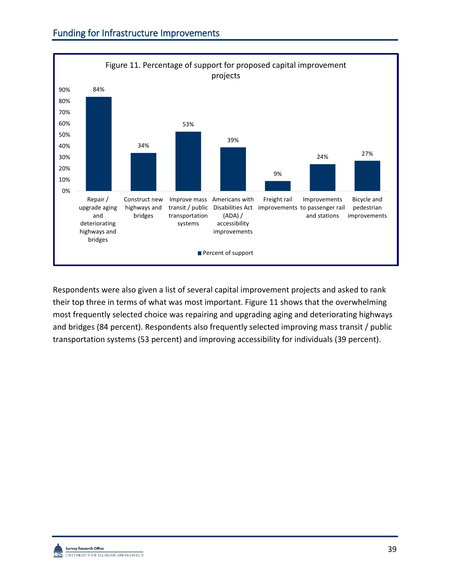

Respondents were also given a list of several capital improvement projects and asked to rank their top three in terms of what was most important. Figure 11 shows that the overwhelming most frequently selected choice was repairing and upgrading aging and deteriorating highways and bridges (84 percent). Respondents also frequently selected improving mass transit / public transportation systems (53 percent) and improving accessibility for individuals (39 percent).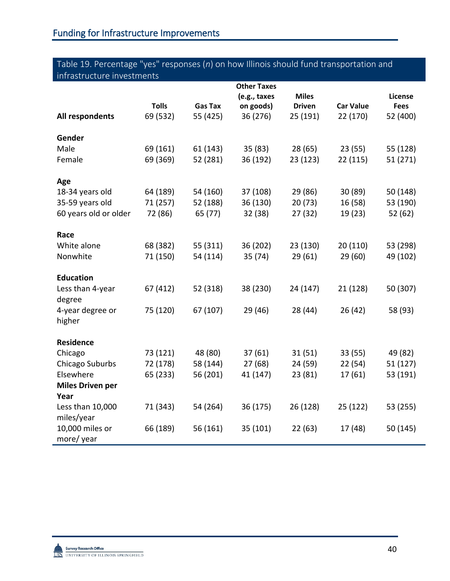## Table 19. Percentage "yes" responses (*n*) on how Illinois should fund transportation and infrastructure investments

|                                                                                                                   |                                                          |                                                          | <b>Other Taxes</b>                                     |                                                     |                                                     |                                                         |
|-------------------------------------------------------------------------------------------------------------------|----------------------------------------------------------|----------------------------------------------------------|--------------------------------------------------------|-----------------------------------------------------|-----------------------------------------------------|---------------------------------------------------------|
|                                                                                                                   |                                                          |                                                          | (e.g., taxes                                           | <b>Miles</b>                                        |                                                     | License                                                 |
|                                                                                                                   | <b>Tolls</b>                                             | <b>Gas Tax</b>                                           | on goods)                                              | <b>Driven</b>                                       | <b>Car Value</b>                                    | <b>Fees</b>                                             |
| All respondents                                                                                                   | 69 (532)                                                 | 55 (425)                                                 | 36 (276)                                               | 25 (191)                                            | 22 (170)                                            | 52 (400)                                                |
|                                                                                                                   |                                                          |                                                          |                                                        |                                                     |                                                     |                                                         |
| Gender                                                                                                            |                                                          |                                                          |                                                        |                                                     |                                                     |                                                         |
| Male                                                                                                              | 69 (161)                                                 | 61 (143)                                                 | 35(83)                                                 | 28(65)                                              | 23(55)                                              | 55 (128)                                                |
| Female                                                                                                            | 69 (369)                                                 | 52 (281)                                                 | 36 (192)                                               | 23 (123)                                            | 22 (115)                                            | 51 (271)                                                |
|                                                                                                                   |                                                          |                                                          |                                                        |                                                     |                                                     |                                                         |
| Age                                                                                                               |                                                          |                                                          |                                                        |                                                     |                                                     |                                                         |
| 18-34 years old                                                                                                   | 64 (189)                                                 | 54 (160)                                                 | 37 (108)                                               | 29 (86)                                             | 30 (89)                                             | 50 (148)                                                |
| 35-59 years old                                                                                                   | 71 (257)                                                 | 52 (188)                                                 | 36 (130)                                               | 20(73)                                              | 16 (58)                                             | 53 (190)                                                |
| 60 years old or older                                                                                             | 72 (86)                                                  | 65 (77)                                                  | 32 (38)                                                | 27 (32)                                             | 19 (23)                                             | 52 (62)                                                 |
|                                                                                                                   |                                                          |                                                          |                                                        |                                                     |                                                     |                                                         |
|                                                                                                                   |                                                          |                                                          |                                                        |                                                     |                                                     |                                                         |
|                                                                                                                   |                                                          |                                                          |                                                        |                                                     |                                                     |                                                         |
|                                                                                                                   |                                                          |                                                          |                                                        |                                                     |                                                     |                                                         |
| <b>Education</b>                                                                                                  |                                                          |                                                          |                                                        |                                                     |                                                     |                                                         |
|                                                                                                                   |                                                          |                                                          |                                                        |                                                     |                                                     |                                                         |
|                                                                                                                   |                                                          |                                                          |                                                        |                                                     |                                                     |                                                         |
|                                                                                                                   |                                                          |                                                          |                                                        |                                                     |                                                     |                                                         |
| higher                                                                                                            |                                                          |                                                          |                                                        |                                                     |                                                     |                                                         |
|                                                                                                                   |                                                          |                                                          |                                                        |                                                     |                                                     |                                                         |
| <b>Residence</b>                                                                                                  |                                                          |                                                          |                                                        |                                                     |                                                     |                                                         |
| Chicago                                                                                                           | 73 (121)                                                 | 48 (80)                                                  | 37(61)                                                 | 31(51)                                              | 33(55)                                              | 49 (82)                                                 |
| Chicago Suburbs                                                                                                   | 72 (178)                                                 | 58 (144)                                                 | 27(68)                                                 | 24 (59)                                             | 22(54)                                              | 51 (127)                                                |
| Elsewhere                                                                                                         | 65 (233)                                                 | 56 (201)                                                 | 41 (147)                                               | 23(81)                                              | 17 (61)                                             | 53 (191)                                                |
| <b>Miles Driven per</b>                                                                                           |                                                          |                                                          |                                                        |                                                     |                                                     |                                                         |
| Year                                                                                                              |                                                          |                                                          |                                                        |                                                     |                                                     |                                                         |
| Less than 10,000                                                                                                  | 71 (343)                                                 | 54 (264)                                                 | 36 (175)                                               | 26 (128)                                            | 25 (122)                                            | 53 (255)                                                |
| miles/year                                                                                                        |                                                          |                                                          |                                                        |                                                     |                                                     |                                                         |
|                                                                                                                   |                                                          |                                                          |                                                        |                                                     |                                                     |                                                         |
|                                                                                                                   |                                                          |                                                          |                                                        |                                                     |                                                     |                                                         |
| Race<br>White alone<br>Nonwhite<br>Less than 4-year<br>degree<br>4-year degree or<br>10,000 miles or<br>more/year | 68 (382)<br>71 (150)<br>67 (412)<br>75 (120)<br>66 (189) | 55 (311)<br>54 (114)<br>52 (318)<br>67 (107)<br>56 (161) | 36 (202)<br>35 (74)<br>38 (230)<br>29 (46)<br>35 (101) | 23 (130)<br>29(61)<br>24 (147)<br>28 (44)<br>22(63) | 20 (110)<br>29(60)<br>21 (128)<br>26(42)<br>17 (48) | 53 (298)<br>49 (102)<br>50 (307)<br>58 (93)<br>50 (145) |

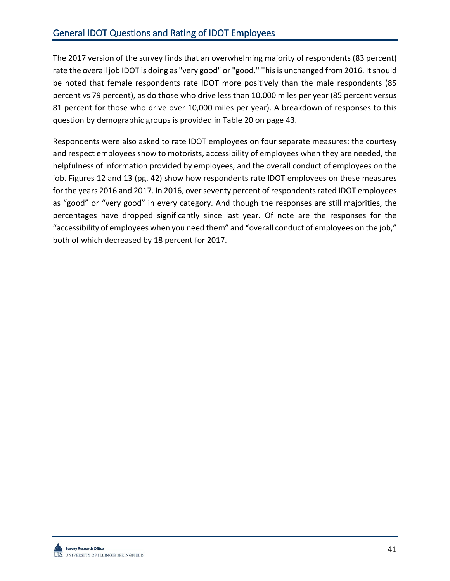## General IDOT Questions and Rating of IDOT Employees

The 2017 version of the survey finds that an overwhelming majority of respondents (83 percent) rate the overall job IDOT is doing as "very good" or "good." This is unchanged from 2016. It should be noted that female respondents rate IDOT more positively than the male respondents (85 percent vs 79 percent), as do those who drive less than 10,000 miles per year (85 percent versus 81 percent for those who drive over 10,000 miles per year). A breakdown of responses to this question by demographic groups is provided in Table 20 on page 43.

Respondents were also asked to rate IDOT employees on four separate measures: the courtesy and respect employees show to motorists, accessibility of employees when they are needed, the helpfulness of information provided by employees, and the overall conduct of employees on the job. Figures 12 and 13 (pg. 42) show how respondents rate IDOT employees on these measures for the years 2016 and 2017. In 2016, over seventy percent of respondents rated IDOT employees as "good" or "very good" in every category. And though the responses are still majorities, the percentages have dropped significantly since last year. Of note are the responses for the "accessibility of employees when you need them" and "overall conduct of employees on the job," both of which decreased by 18 percent for 2017.

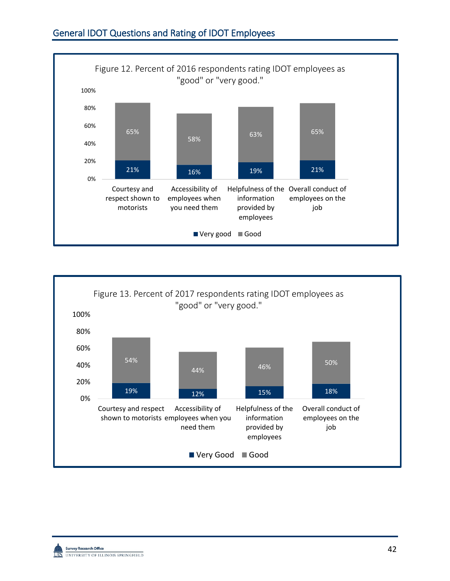



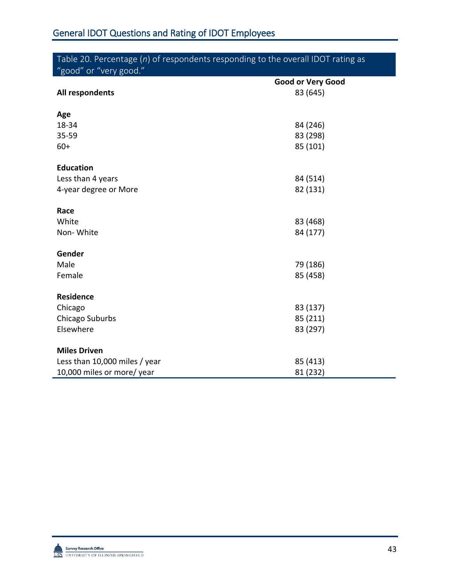| Table 20. Percentage $(n)$ of respondents responding to the overall IDOT rating as |                          |  |
|------------------------------------------------------------------------------------|--------------------------|--|
| "good" or "very good."                                                             |                          |  |
|                                                                                    | <b>Good or Very Good</b> |  |
| All respondents                                                                    | 83 (645)                 |  |
| Age                                                                                |                          |  |
| 18-34                                                                              | 84 (246)                 |  |
| 35-59                                                                              | 83 (298)                 |  |
| $60+$                                                                              | 85 (101)                 |  |
| <b>Education</b>                                                                   |                          |  |
| Less than 4 years                                                                  | 84 (514)                 |  |
| 4-year degree or More                                                              | 82 (131)                 |  |
| Race                                                                               |                          |  |
| White                                                                              | 83 (468)                 |  |
| Non-White                                                                          | 84 (177)                 |  |
| Gender                                                                             |                          |  |
| Male                                                                               | 79 (186)                 |  |
| Female                                                                             | 85 (458)                 |  |
| <b>Residence</b>                                                                   |                          |  |
| Chicago                                                                            | 83 (137)                 |  |
| Chicago Suburbs                                                                    | 85 (211)                 |  |
| Elsewhere                                                                          | 83 (297)                 |  |
| <b>Miles Driven</b>                                                                |                          |  |
| Less than 10,000 miles / year                                                      | 85 (413)                 |  |
| 10,000 miles or more/ year                                                         | 81 (232)                 |  |

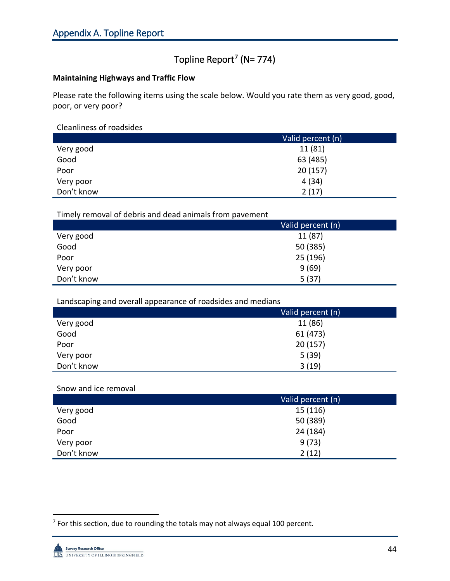## Topline Report<sup>[7](#page-45-0)</sup> (N= 774)

### **Maintaining Highways and Traffic Flow**

Please rate the following items using the scale below. Would you rate them as very good, good, poor, or very poor?

### Cleanliness of roadsides

|            | Valid percent (n) |
|------------|-------------------|
| Very good  | 11 (81)           |
| Good       | 63 (485)          |
| Poor       | 20(157)           |
| Very poor  | 4(34)             |
| Don't know | 2(17)             |

### Timely removal of debris and dead animals from pavement

|            | Valid percent (n) |
|------------|-------------------|
| Very good  | 11 (87)           |
| Good       | 50 (385)          |
| Poor       | 25 (196)          |
| Very poor  | 9(69)             |
| Don't know | 5(37)             |

### Landscaping and overall appearance of roadsides and medians

|            | Valid percent (n) |
|------------|-------------------|
| Very good  | 11 (86)           |
| Good       | 61 (473)          |
| Poor       | 20(157)           |
| Very poor  | 5(39)             |
| Don't know | 3(19)             |

#### Snow and ice removal

|            | Valid percent (n) |
|------------|-------------------|
| Very good  | 15 (116)          |
| Good       | 50 (389)          |
| Poor       | 24 (184)          |
| Very poor  | 9(73)             |
| Don't know | 2(12)             |

<span id="page-45-0"></span> $7$  For this section, due to rounding the totals may not always equal 100 percent.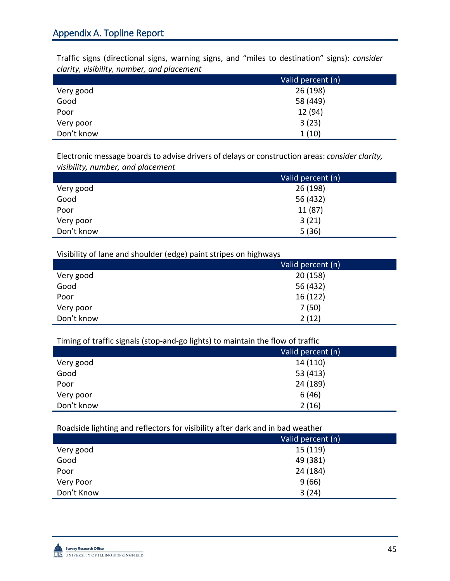Traffic signs (directional signs, warning signs, and "miles to destination" signs): *consider clarity, visibility, number, and placement*

|            | Valid percent (n) |
|------------|-------------------|
| Very good  | 26 (198)          |
| Good       | 58 (449)          |
| Poor       | 12 (94)           |
| Very poor  | 3(23)             |
| Don't know | 1(10)             |

Electronic message boards to advise drivers of delays or construction areas: *consider clarity, visibility, number, and placement*

|            | Valid percent (n) |
|------------|-------------------|
| Very good  | 26 (198)          |
| Good       | 56 (432)          |
| Poor       | 11 (87)           |
| Very poor  | 3(21)             |
| Don't know | 5(36)             |

Visibility of lane and shoulder (edge) paint stripes on highways

|            | Valid percent (n) |
|------------|-------------------|
| Very good  | 20(158)           |
| Good       | 56 (432)          |
| Poor       | 16(122)           |
| Very poor  | 7(50)             |
| Don't know | 2(12)             |

Timing of traffic signals (stop-and-go lights) to maintain the flow of traffic

| $\tilde{\phantom{a}}$ | $\tilde{\phantom{a}}$<br>$\sim$ | $\sim$            |
|-----------------------|---------------------------------|-------------------|
|                       |                                 | Valid percent (n) |
| Very good             |                                 | 14 (110)          |
| Good                  |                                 | 53 (413)          |
| Poor                  |                                 | 24 (189)          |
| Very poor             |                                 | 6(46)             |
| Don't know            |                                 | 2(16)             |
|                       |                                 |                   |

Roadside lighting and reflectors for visibility after dark and in bad weather

|            | Valid percent (n) |
|------------|-------------------|
| Very good  | 15 (119)          |
| Good       | 49 (381)          |
| Poor       | 24 (184)          |
| Very Poor  | 9(66)             |
| Don't Know | 3(24)             |
|            |                   |

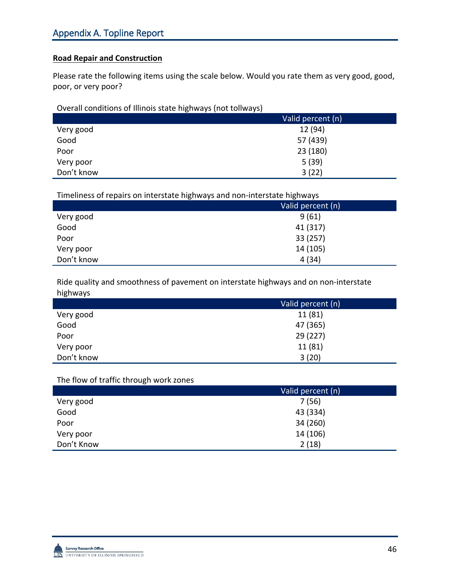### **Road Repair and Construction**

Please rate the following items using the scale below. Would you rate them as very good, good, poor, or very poor?

Overall conditions of Illinois state highways (not tollways)

|            | Valid percent (n) |
|------------|-------------------|
| Very good  | 12 (94)           |
| Good       | 57 (439)          |
| Poor       | 23 (180)          |
| Very poor  | 5(39)             |
| Don't know | 3(22)             |

Timeliness of repairs on interstate highways and non-interstate highways

|            | Valid percent (n) |
|------------|-------------------|
| Very good  | 9(61)             |
| Good       | 41 (317)          |
| Poor       | 33 (257)          |
| Very poor  | 14 (105)          |
| Don't know | 4(34)             |

Ride quality and smoothness of pavement on interstate highways and on non-interstate highways

|            | Valid percent (n) |
|------------|-------------------|
| Very good  | 11 (81)           |
| Good       | 47 (365)          |
| Poor       | 29 (227)          |
| Very poor  | 11(81)            |
| Don't know | 3(20)             |

#### The flow of traffic through work zones

|            | Valid percent (n) |
|------------|-------------------|
| Very good  | 7(56)             |
| Good       | 43 (334)          |
| Poor       | 34 (260)          |
| Very poor  | 14 (106)          |
| Don't Know | 2(18)             |

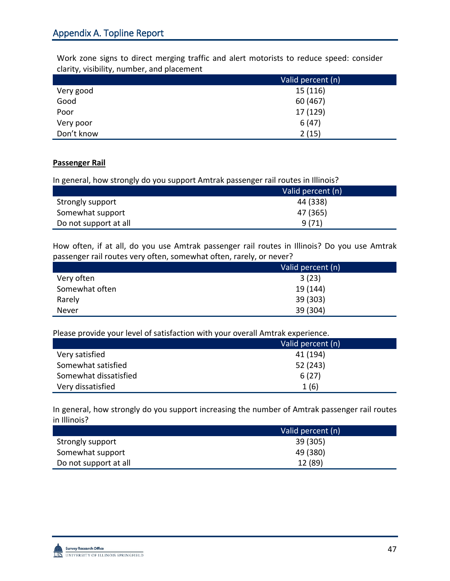Work zone signs to direct merging traffic and alert motorists to reduce speed: consider clarity, visibility, number, and placement

|            | Valid percent (n) |
|------------|-------------------|
| Very good  | 15 (116)          |
| Good       | 60 (467)          |
| Poor       | 17 (129)          |
| Very poor  | 6(47)             |
| Don't know | 2(15)             |

### **Passenger Rail**

In general, how strongly do you support Amtrak passenger rail routes in Illinois?

|                       | Valid percent (n) |
|-----------------------|-------------------|
| Strongly support      | 44 (338)          |
| Somewhat support      | 47 (365)          |
| Do not support at all | 9(71)             |

How often, if at all, do you use Amtrak passenger rail routes in Illinois? Do you use Amtrak passenger rail routes very often, somewhat often, rarely, or never?

|                | Valid percent (n) |
|----------------|-------------------|
| Very often     | 3(23)             |
| Somewhat often | 19 (144)          |
| Rarely         | 39 (303)          |
| Never          | 39 (304)          |

Please provide your level of satisfaction with your overall Amtrak experience.

|                       | Valid percent (n) |
|-----------------------|-------------------|
| Very satisfied        | 41 (194)          |
| Somewhat satisfied    | 52 (243)          |
| Somewhat dissatisfied | 6(27)             |
| Very dissatisfied     | 1(6)              |

In general, how strongly do you support increasing the number of Amtrak passenger rail routes in Illinois?

|                       | Valid percent (n) |
|-----------------------|-------------------|
| Strongly support      | 39 (305)          |
| Somewhat support      | 49 (380)          |
| Do not support at all | 12 (89)           |

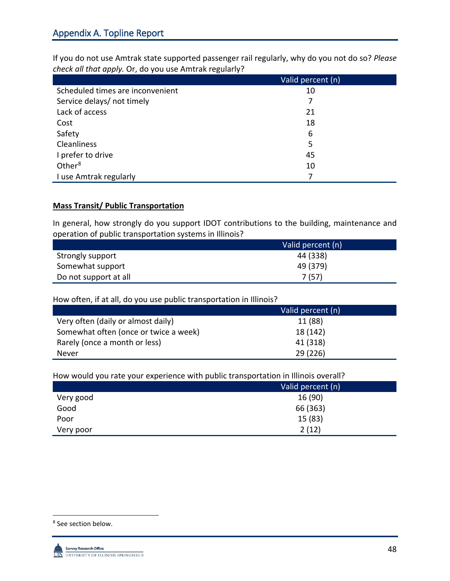If you do not use Amtrak state supported passenger rail regularly, why do you not do so? *Please check all that apply.* Or, do you use Amtrak regularly?

|                                  | Valid percent (n) |
|----------------------------------|-------------------|
| Scheduled times are inconvenient | 10                |
| Service delays/ not timely       | 7                 |
| Lack of access                   | 21                |
| Cost                             | 18                |
| Safety                           | 6                 |
| <b>Cleanliness</b>               | 5                 |
| I prefer to drive                | 45                |
| Other <sup>8</sup>               | 10                |
| I use Amtrak regularly           | 7                 |

### **Mass Transit/ Public Transportation**

In general, how strongly do you support IDOT contributions to the building, maintenance and operation of public transportation systems in Illinois?

|                       | Valid percent (n) |
|-----------------------|-------------------|
| Strongly support      | 44 (338)          |
| Somewhat support      | 49 (379)          |
| Do not support at all | 7(57)             |

How often, if at all, do you use public transportation in Illinois?

|                                       | Valid percent (n) |
|---------------------------------------|-------------------|
| Very often (daily or almost daily)    | 11 (88)           |
| Somewhat often (once or twice a week) | 18 (142)          |
| Rarely (once a month or less)         | 41 (318)          |
| Never                                 | 29(226)           |

How would you rate your experience with public transportation in Illinois overall?

|           | Valid percent (n) |
|-----------|-------------------|
| Very good | 16 (90)           |
| Good      | 66 (363)          |
| Poor      | 15(83)            |
| Very poor | 2(12)             |

<span id="page-49-0"></span> <sup>8</sup> See section below.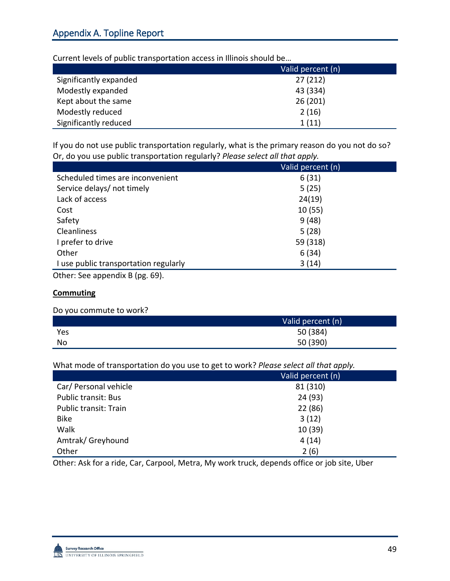Current levels of public transportation access in Illinois should be…

|                        | Valid percent (n) |
|------------------------|-------------------|
| Significantly expanded | 27(212)           |
| Modestly expanded      | 43 (334)          |
| Kept about the same    | 26(201)           |
| Modestly reduced       | 2(16)             |
| Significantly reduced  | 1(11)             |

If you do not use public transportation regularly, what is the primary reason do you not do so? Or, do you use public transportation regularly? *Please select all that apply.*

| Valid percent (n) |
|-------------------|
| 6(31)             |
| 5(25)             |
| 24(19)            |
| 10(55)            |
| 9(48)             |
| 5(28)             |
| 59 (318)          |
| 6(34)             |
| 3(14)             |
|                   |

Other: See appendix B (pg. 69).

#### **Commuting**

#### Do you commute to work?

|     | Valid percent (n) |
|-----|-------------------|
| Yes | 50 (384)          |
| No  | 50 (390)          |

What mode of transportation do you use to get to work? *Please select all that apply.*

|                            | Valid percent (n) |
|----------------------------|-------------------|
| Car/ Personal vehicle      | 81 (310)          |
| <b>Public transit: Bus</b> | 24 (93)           |
| Public transit: Train      | 22 (86)           |
| <b>Bike</b>                | 3(12)             |
| Walk                       | 10 (39)           |
| Amtrak/Greyhound           | 4(14)             |
| Other                      | 2(6)              |

Other: Ask for a ride, Car, Carpool, Metra, My work truck, depends office or job site, Uber

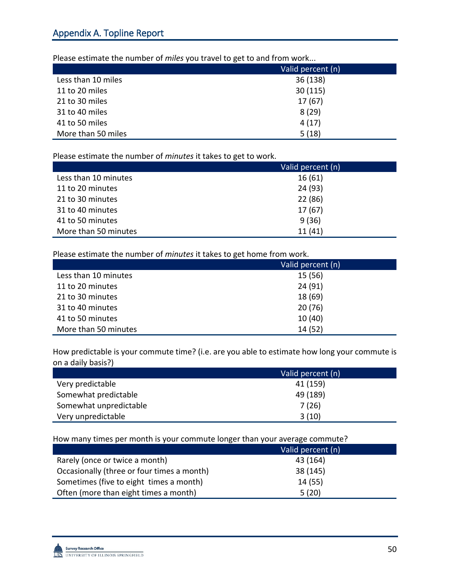Please estimate the number of *miles* you travel to get to and from work...

|                    | Valid percent (n) |
|--------------------|-------------------|
| Less than 10 miles | 36 (138)          |
| 11 to 20 miles     | 30(115)           |
| 21 to 30 miles     | 17(67)            |
| 31 to 40 miles     | 8(29)             |
| 41 to 50 miles     | 4(17)             |
| More than 50 miles | 5(18)             |

Please estimate the number of *minutes* it takes to get to work.

|                      | Valid percent (n) |
|----------------------|-------------------|
| Less than 10 minutes | 16(61)            |
| 11 to 20 minutes     | 24 (93)           |
| 21 to 30 minutes     | 22 (86)           |
| 31 to 40 minutes     | 17(67)            |
| 41 to 50 minutes     | 9(36)             |
| More than 50 minutes | 11(41)            |

Please estimate the number of *minutes* it takes to get home from work.

|                      | Valid percent (n) |
|----------------------|-------------------|
| Less than 10 minutes | 15 (56)           |
| 11 to 20 minutes     | 24 (91)           |
| 21 to 30 minutes     | 18 (69)           |
| 31 to 40 minutes     | 20(76)            |
| 41 to 50 minutes     | 10(40)            |
| More than 50 minutes | 14 (52)           |

How predictable is your commute time? (i.e. are you able to estimate how long your commute is on a daily basis?)

|                        | Valid percent (n) |
|------------------------|-------------------|
| Very predictable       | 41 (159)          |
| Somewhat predictable   | 49 (189)          |
| Somewhat unpredictable | 7(26)             |
| Very unpredictable     | 3(10)             |

How many times per month is your commute longer than your average commute?

|                                            | Valid percent (n) |
|--------------------------------------------|-------------------|
| Rarely (once or twice a month)             | 43 (164)          |
| Occasionally (three or four times a month) | 38 (145)          |
| Sometimes (five to eight times a month)    | 14(55)            |
| Often (more than eight times a month)      | 5(20)             |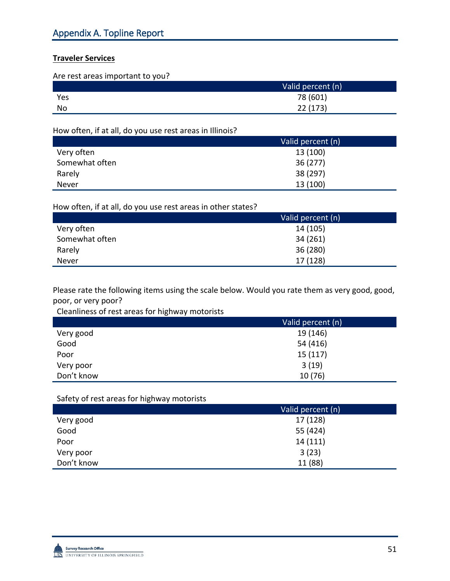## **Traveler Services**

Are rest areas important to you?

|           | Valid percent (n) |
|-----------|-------------------|
| Yes       | 78 (601)          |
| <b>No</b> | 22 (173)          |

How often, if at all, do you use rest areas in Illinois?

|                | Valid percent (n) |
|----------------|-------------------|
| Very often     | 13 (100)          |
| Somewhat often | 36(277)           |
| Rarely         | 38 (297)          |
| Never          | 13 (100)          |

### How often, if at all, do you use rest areas in other states?

|                | Valid percent (n) |
|----------------|-------------------|
| Very often     | 14 (105)          |
| Somewhat often | 34 (261)          |
| Rarely         | 36 (280)          |
| Never          | 17 (128)          |

Please rate the following items using the scale below. Would you rate them as very good, good, poor, or very poor?

Cleanliness of rest areas for highway motorists

|            | Valid percent (n) |
|------------|-------------------|
| Very good  | 19 (146)          |
| Good       | 54 (416)          |
| Poor       | 15(117)           |
| Very poor  | 3(19)             |
| Don't know | 10(76)            |

## Safety of rest areas for highway motorists

|            | Valid percent (n) |
|------------|-------------------|
| Very good  | 17 (128)          |
| Good       | 55 (424)          |
| Poor       | 14 (111)          |
| Very poor  | 3(23)             |
| Don't know | 11 (88)           |

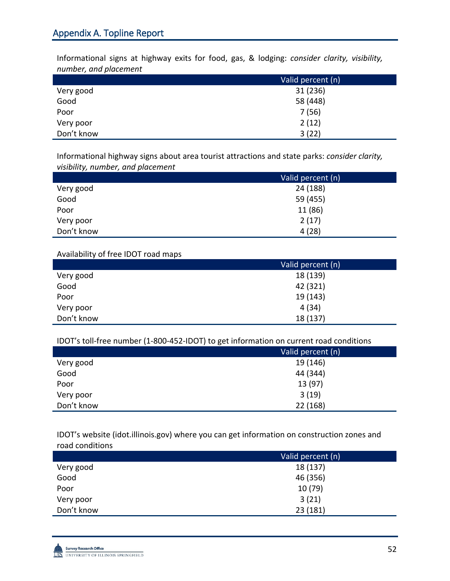Informational signs at highway exits for food, gas, & lodging: *consider clarity, visibility, number, and placement*

|            | Valid percent (n) |
|------------|-------------------|
| Very good  | 31 (236)          |
| Good       | 58 (448)          |
| Poor       | 7(56)             |
| Very poor  | 2(12)             |
| Don't know | 3(22)             |

Informational highway signs about area tourist attractions and state parks: *consider clarity, visibility, number, and placement*

|            | Valid percent (n) |
|------------|-------------------|
| Very good  | 24 (188)          |
| Good       | 59 (455)          |
| Poor       | 11 (86)           |
| Very poor  | 2(17)             |
| Don't know | 4(28)             |

Availability of free IDOT road maps

|            | Valid percent (n) |
|------------|-------------------|
| Very good  | 18 (139)          |
| Good       | 42 (321)          |
| Poor       | 19 (143)          |
| Very poor  | 4(34)             |
| Don't know | 18 (137)          |

IDOT's toll-free number (1-800-452-IDOT) to get information on current road conditions

|            | Valid percent (n) |
|------------|-------------------|
| Very good  | 19 (146)          |
| Good       | 44 (344)          |
| Poor       | 13 (97)           |
| Very poor  | 3(19)             |
| Don't know | 22 (168)          |

IDOT's website (idot.illinois.gov) where you can get information on construction zones and road conditions

|            | Valid percent (n) |
|------------|-------------------|
| Very good  | 18 (137)          |
| Good       | 46 (356)          |
| Poor       | 10 (79)           |
| Very poor  | 3(21)             |
| Don't know | 23 (181)          |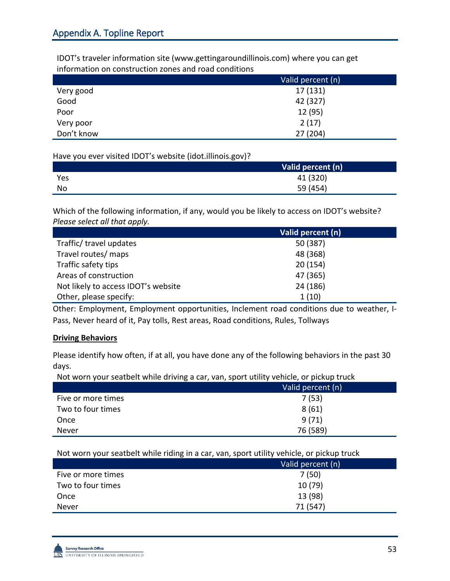IDOT's traveler information site (www.gettingaroundillinois.com) where you can get information on construction zones and road conditions

|            | Valid percent (n) |
|------------|-------------------|
| Very good  | 17 (131)          |
| Good       | 42 (327)          |
| Poor       | 12 (95)           |
| Very poor  | 2(17)             |
| Don't know | 27 (204)          |

Have you ever visited IDOT's website (idot.illinois.gov)?

|     | Valid percent (n) |
|-----|-------------------|
| Yes | 41 (320)          |
| No  | 59 (454)          |

Which of the following information, if any, would you be likely to access on IDOT's website? *Please select all that apply.* 

|                                     | Valid percent (n) |
|-------------------------------------|-------------------|
| Traffic/ travel updates             | 50 (387)          |
| Travel routes/ maps                 | 48 (368)          |
| Traffic safety tips                 | 20(154)           |
| Areas of construction               | 47 (365)          |
| Not likely to access IDOT's website | 24 (186)          |
| Other, please specify:              | 1(10)             |

Other: Employment, Employment opportunities, Inclement road conditions due to weather, I-Pass, Never heard of it, Pay tolls, Rest areas, Road conditions, Rules, Tollways

#### **Driving Behaviors**

Please identify how often, if at all, you have done any of the following behaviors in the past 30 days.

Not worn your seatbelt while driving a car, van, sport utility vehicle, or pickup truck

|                    | Valid percent (n) |
|--------------------|-------------------|
| Five or more times | 7(53)             |
| Two to four times  | 8(61)             |
| Once               | 9(71)             |
| Never              | 76 (589)          |

Not worn your seatbelt while riding in a car, van, sport utility vehicle, or pickup truck

|                    | ຼ |                   |
|--------------------|---|-------------------|
|                    |   | Valid percent (n) |
| Five or more times |   | 7(50)             |
| Two to four times  |   | 10(79)            |
| Once               |   | 13 (98)           |
| Never              |   | 71 (547)          |
|                    |   |                   |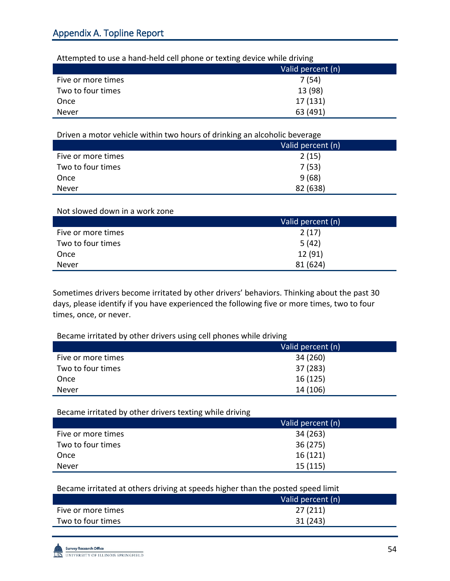| Attempted to use a hand-held cell phone or texting device while driving |                   |
|-------------------------------------------------------------------------|-------------------|
|                                                                         | Valid percent (n) |
| Five or more times                                                      | 7(54)             |
| Two to four times                                                       | 13 (98)           |
| Once                                                                    | 17 (131)          |
| Never                                                                   | 63 (491)          |

Attempted to use a hand-held cell phone or texting device while driving

Driven a motor vehicle within two hours of drinking an alcoholic beverage

|                    | Valid percent (n) |
|--------------------|-------------------|
| Five or more times | 2(15)             |
| Two to four times  | 7(53)             |
| Once               | 9(68)             |
| Never              | 82 (638)          |

#### Not slowed down in a work zone

|                    | Valid percent (n) |
|--------------------|-------------------|
| Five or more times | 2(17)             |
| Two to four times  | 5(42)             |
| Once               | 12(91)            |
| Never              | 81 (624)          |

Sometimes drivers become irritated by other drivers' behaviors. Thinking about the past 30 days, please identify if you have experienced the following five or more times, two to four times, once, or never.

Became irritated by other drivers using cell phones while driving

|                    | Valid percent (n) |
|--------------------|-------------------|
| Five or more times | 34 (260)          |
| Two to four times  | 37 (283)          |
| Once               | 16(125)           |
| Never              | 14 (106)          |

Became irritated by other drivers texting while driving

|                    | Valid percent (n) |
|--------------------|-------------------|
| Five or more times | 34 (263)          |
| Two to four times  | 36(275)           |
| Once               | 16(121)           |
| Never              | 15(115)           |

Became irritated at others driving at speeds higher than the posted speed limit

|                    | Valid percent (n) |
|--------------------|-------------------|
| Five or more times | 27(211)           |
| Two to four times  | 31(243)           |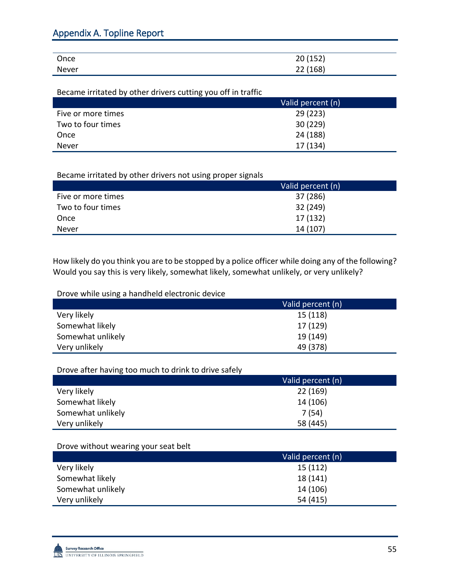| Once  | 20(152)  |
|-------|----------|
| Never | 22 (168) |

Became irritated by other drivers cutting you off in traffic

|                    | Valid percent (n) |
|--------------------|-------------------|
| Five or more times | 29(223)           |
| Two to four times  | 30(229)           |
| Once               | 24 (188)          |
| Never              | 17 (134)          |

Became irritated by other drivers not using proper signals

|                    | Valid percent (n) |
|--------------------|-------------------|
| Five or more times | 37 (286)          |
| Two to four times  | 32 (249)          |
| Once               | 17 (132)          |
| Never              | 14 (107)          |

How likely do you think you are to be stopped by a police officer while doing any of the following? Would you say this is very likely, somewhat likely, somewhat unlikely, or very unlikely?

Drove while using a handheld electronic device

|                   | Valid percent (n) |
|-------------------|-------------------|
| Very likely       | 15(118)           |
| Somewhat likely   | 17 (129)          |
| Somewhat unlikely | 19 (149)          |
| Very unlikely     | 49 (378)          |

Drove after having too much to drink to drive safely

|                   | Valid percent (n) |
|-------------------|-------------------|
| Very likely       | 22(169)           |
| Somewhat likely   | 14 (106)          |
| Somewhat unlikely | 7(54)             |
| Very unlikely     | 58 (445)          |

Drove without wearing your seat belt

| 15(112)<br>Very likely<br>18 (141)<br>Somewhat likely<br>14 (106)<br>Somewhat unlikely |               | Valid percent (n) |
|----------------------------------------------------------------------------------------|---------------|-------------------|
|                                                                                        |               |                   |
|                                                                                        |               |                   |
|                                                                                        |               |                   |
|                                                                                        | Very unlikely | 54 (415)          |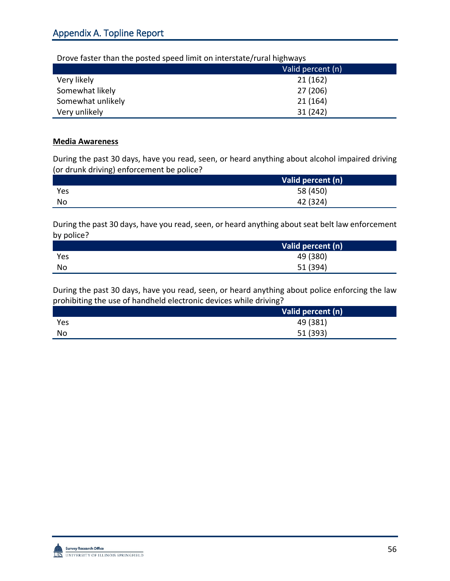| DIOVE TASLET LITATI LITE POSLEU SPEEU IIIIIIL OII IIILEI SLALE/TUTAI IIIRITWAYS |                   |
|---------------------------------------------------------------------------------|-------------------|
|                                                                                 | Valid percent (n) |
| Very likely                                                                     | 21(162)           |
| Somewhat likely                                                                 | 27 (206)          |
| Somewhat unlikely                                                               | 21(164)           |
| Very unlikely                                                                   | 31 (242)          |

## Drove faster than the posted speed limit on interstate/rural highways

#### **Media Awareness**

During the past 30 days, have you read, seen, or heard anything about alcohol impaired driving (or drunk driving) enforcement be police?

|     | Valid percent (n) |
|-----|-------------------|
| Yes | 58 (450)          |
| No  | 42 (324)          |

During the past 30 days, have you read, seen, or heard anything about seat belt law enforcement by police?

|     | Valid percent (n) |
|-----|-------------------|
| Yes | 49 (380)          |
| No  | 51 (394)          |

During the past 30 days, have you read, seen, or heard anything about police enforcing the law prohibiting the use of handheld electronic devices while driving?

|     | Valid percent (n) |
|-----|-------------------|
| Yes | 49 (381)          |
| No  | 51 (393)          |

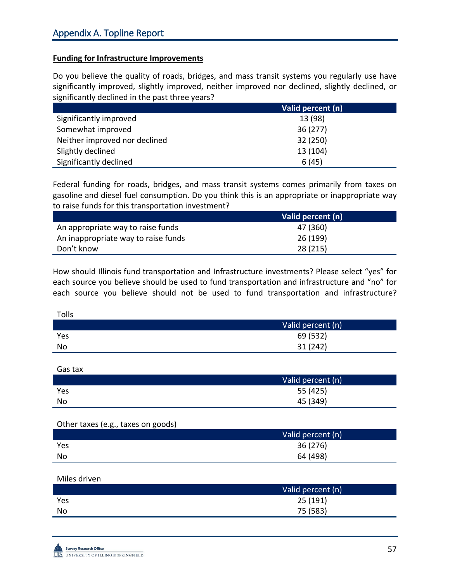#### **Funding for Infrastructure Improvements**

Do you believe the quality of roads, bridges, and mass transit systems you regularly use have significantly improved, slightly improved, neither improved nor declined, slightly declined, or significantly declined in the past three years?

|                               | Valid percent (n) |
|-------------------------------|-------------------|
| Significantly improved        | 13 (98)           |
| Somewhat improved             | 36(277)           |
| Neither improved nor declined | 32 (250)          |
| Slightly declined             | 13 (104)          |
| Significantly declined        | 6(45)             |

Federal funding for roads, bridges, and mass transit systems comes primarily from taxes on gasoline and diesel fuel consumption. Do you think this is an appropriate or inappropriate way to raise funds for this transportation investment?

|                                     | Valid percent (n) |
|-------------------------------------|-------------------|
| An appropriate way to raise funds   | 47 (360)          |
| An inappropriate way to raise funds | 26 (199)          |
| Don't know                          | 28 (215)          |

How should Illinois fund transportation and Infrastructure investments? Please select "yes" for each source you believe should be used to fund transportation and infrastructure and "no" for each source you believe should not be used to fund transportation and infrastructure?

| Tolls |                   |
|-------|-------------------|
|       | Valid percent (n) |
| Yes   | 69 (532)          |
| No    | 31 (242)          |

Gas tax

|     | Valid percent (n) |
|-----|-------------------|
| Yes | 55 (425)          |
| No  | 45 (349)          |

#### Other taxes (e.g., taxes on goods)

|     | Valid percent (n) |
|-----|-------------------|
| Yes | 36 (276)          |
| No  | 64 (498)          |

Miles driven

|     | Valid percent (n) |
|-----|-------------------|
| Yes | 25(191)           |
| No  | 75 (583)          |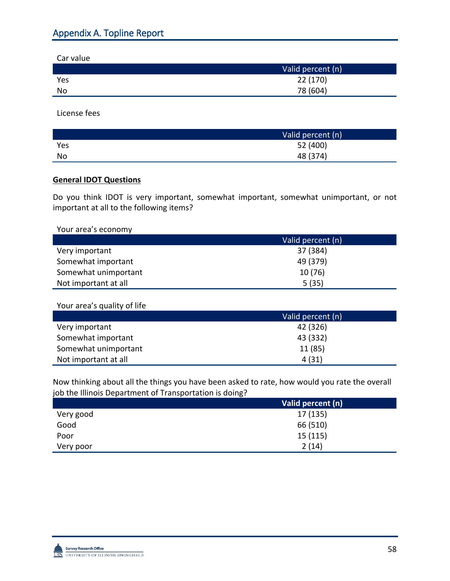Car value

|     | Valid percent (n) |
|-----|-------------------|
| Yes | 22 (170)          |
| No  | 78 (604)          |

License fees

|     | Valid percent (n) |
|-----|-------------------|
| Yes | 52 (400)          |
| No  | 48 (374)          |

### **General IDOT Questions**

Do you think IDOT is very important, somewhat important, somewhat unimportant, or not important at all to the following items?

Your area's economy

|                      | Valid percent (n) |
|----------------------|-------------------|
| Very important       | 37 (384)          |
| Somewhat important   | 49 (379)          |
| Somewhat unimportant | 10(76)            |
| Not important at all | 5(35)             |

### Your area's quality of life

|                      | Valid percent (n) |
|----------------------|-------------------|
| Very important       | 42 (326)          |
| Somewhat important   | 43 (332)          |
| Somewhat unimportant | 11(85)            |
| Not important at all | 4(31)             |

Now thinking about all the things you have been asked to rate, how would you rate the overall job the Illinois Department of Transportation is doing?

|           | Valid percent (n) |
|-----------|-------------------|
| Very good | 17 (135)          |
| Good      | 66 (510)          |
| Poor      | 15(115)           |
| Very poor | 2(14)             |

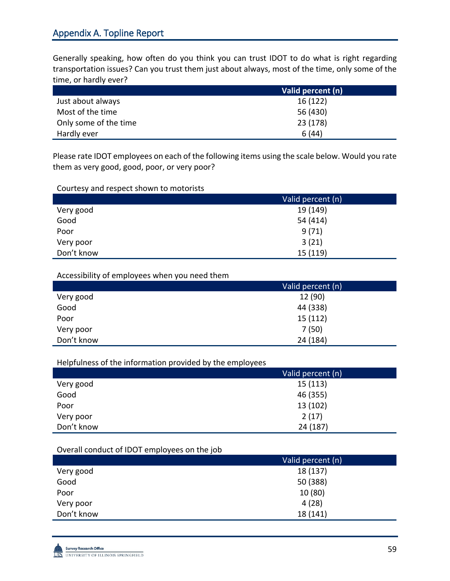Generally speaking, how often do you think you can trust IDOT to do what is right regarding transportation issues? Can you trust them just about always, most of the time, only some of the time, or hardly ever?

|                       | Valid percent (n) |
|-----------------------|-------------------|
| Just about always     | 16(122)           |
| Most of the time      | 56 (430)          |
| Only some of the time | 23 (178)          |
| Hardly ever           | 6(44)             |

Please rate IDOT employees on each of the following items using the scale below. Would you rate them as very good, good, poor, or very poor?

#### Courtesy and respect shown to motorists

|            | Valid percent (n) |
|------------|-------------------|
| Very good  | 19 (149)          |
| Good       | 54 (414)          |
| Poor       | 9(71)             |
| Very poor  | 3(21)             |
| Don't know | 15 (119)          |

#### Accessibility of employees when you need them

|            | Valid percent (n) |
|------------|-------------------|
| Very good  | 12 (90)           |
| Good       | 44 (338)          |
| Poor       | 15(112)           |
| Very poor  | 7(50)             |
| Don't know | 24 (184)          |

Helpfulness of the information provided by the employees

|            | Valid percent (n) |
|------------|-------------------|
| Very good  | 15(113)           |
| Good       | 46 (355)          |
| Poor       | 13(102)           |
| Very poor  | 2(17)             |
| Don't know | 24 (187)          |

#### Overall conduct of IDOT employees on the job

|            | Valid percent (n) |
|------------|-------------------|
| Very good  | 18 (137)          |
| Good       | 50 (388)          |
| Poor       | 10(80)            |
| Very poor  | 4(28)             |
| Don't know | 18 (141)          |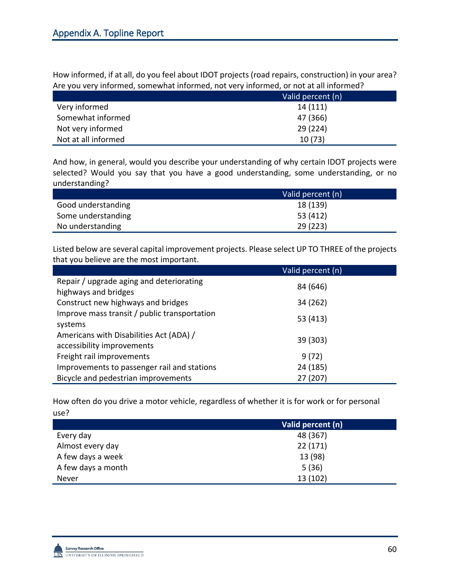How informed, if at all, do you feel about IDOT projects (road repairs, construction) in your area? Are you very informed, somewhat informed, not very informed, or not at all informed?

|                     | Valid percent (n) |
|---------------------|-------------------|
| Very informed       | 14(111)           |
| Somewhat informed   | 47 (366)          |
| Not very informed   | 29 (224)          |
| Not at all informed | 10(73)            |

And how, in general, would you describe your understanding of why certain IDOT projects were selected? Would you say that you have a good understanding, some understanding, or no understanding?

|                    | Valid percent (n) |
|--------------------|-------------------|
| Good understanding | 18 (139)          |
| Some understanding | 53 (412)          |
| No understanding   | 29 (223)          |

Listed below are several capital improvement projects. Please select UP TO THREE of the projects that you believe are the most important.

|                                                                       | Valid percent (n) |
|-----------------------------------------------------------------------|-------------------|
| Repair / upgrade aging and deteriorating<br>highways and bridges      | 84 (646)          |
| Construct new highways and bridges                                    | 34 (262)          |
| Improve mass transit / public transportation<br>systems               | 53 (413)          |
| Americans with Disabilities Act (ADA) /<br>accessibility improvements | 39 (303)          |
| Freight rail improvements                                             | 9(72)             |
| Improvements to passenger rail and stations                           | 24 (185)          |
| Bicycle and pedestrian improvements                                   | 27 (207)          |

How often do you drive a motor vehicle, regardless of whether it is for work or for personal use?

|                    | Valid percent (n) |
|--------------------|-------------------|
| Every day          | 48 (367)          |
| Almost every day   | 22(171)           |
| A few days a week  | 13 (98)           |
| A few days a month | 5(36)             |
| Never              | 13(102)           |

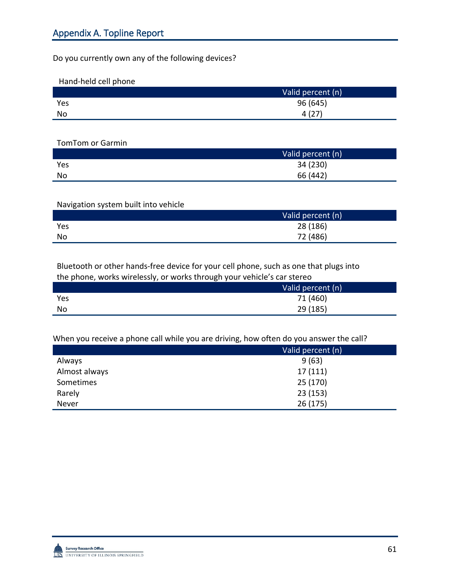Do you currently own any of the following devices?

Hand-held cell phone

|     | Valid percent (n) |
|-----|-------------------|
| Yes | 96 (645)          |
| No  | 4(27)             |

TomTom or Garmin

|           | Valid percent (n) |
|-----------|-------------------|
| Yes       | 34 (230)          |
| <b>No</b> | 66 (442)          |

### Navigation system built into vehicle

|     | Valid percent (n) |
|-----|-------------------|
| Yes | 28 (186)          |
| No  | 72 (486)          |

Bluetooth or other hands-free device for your cell phone, such as one that plugs into the phone, works wirelessly, or works through your vehicle's car stereo

|     | . . | . |                   |
|-----|-----|---|-------------------|
|     |     |   | Valid percent (n) |
| Yes |     |   | 71 (460)          |
| No  |     |   | 29 (185)          |
|     |     |   |                   |

When you receive a phone call while you are driving, how often do you answer the call?

|               | Valid percent (n) |
|---------------|-------------------|
| Always        | 9(63)             |
| Almost always | 17(111)           |
| Sometimes     | 25 (170)          |
| Rarely        | 23(153)           |
| Never         | 26(175)           |

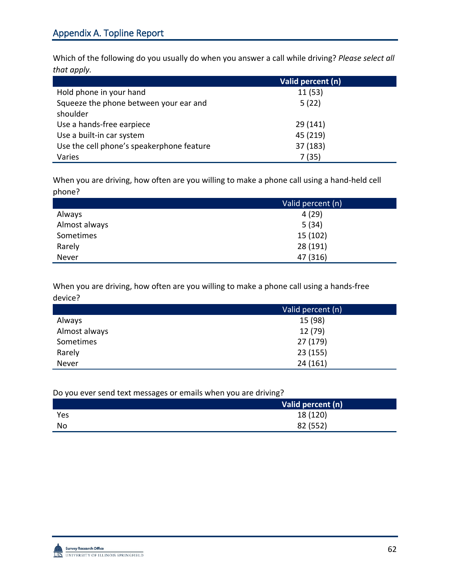Which of the following do you usually do when you answer a call while driving? *Please select all that apply.*

|                                           | Valid percent (n) |
|-------------------------------------------|-------------------|
| Hold phone in your hand                   | 11 (53)           |
| Squeeze the phone between your ear and    | 5(22)             |
| shoulder                                  |                   |
| Use a hands-free earpiece                 | 29(141)           |
| Use a built-in car system                 | 45 (219)          |
| Use the cell phone's speakerphone feature | 37 (183)          |
| Varies                                    | 7(35)             |

When you are driving, how often are you willing to make a phone call using a hand-held cell phone?

|               | Valid percent (n) |
|---------------|-------------------|
| Always        | 4(29)             |
| Almost always | 5(34)             |
| Sometimes     | 15(102)           |
| Rarely        | 28 (191)          |
| Never         | 47 (316)          |

When you are driving, how often are you willing to make a phone call using a hands-free device?

|               | Valid percent (n) |
|---------------|-------------------|
| Always        | 15 (98)           |
| Almost always | 12 (79)           |
| Sometimes     | 27 (179)          |
| Rarely        | 23(155)           |
| Never         | 24(161)           |

Do you ever send text messages or emails when you are driving?

|     | Valid percent (n) |
|-----|-------------------|
| Yes | 18 (120)          |
| No  | 82 (552)          |

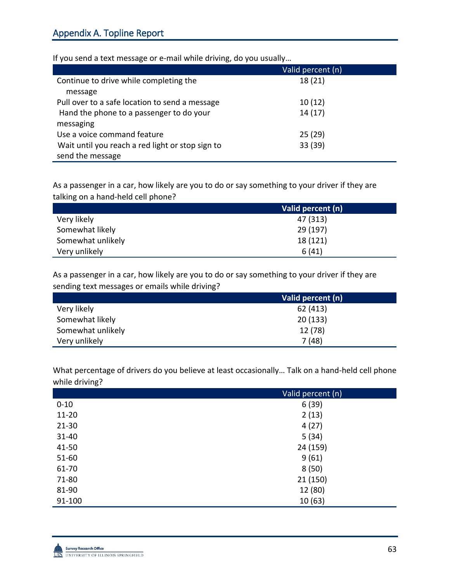|                                                                      | Valid percent (n) |
|----------------------------------------------------------------------|-------------------|
| Continue to drive while completing the<br>message                    | 18(21)            |
| Pull over to a safe location to send a message                       | 10(12)            |
| Hand the phone to a passenger to do your<br>messaging                | 14(17)            |
| Use a voice command feature                                          | 25(29)            |
| Wait until you reach a red light or stop sign to<br>send the message | 33 (39)           |

If you send a text message or e-mail while driving, do you usually…

As a passenger in a car, how likely are you to do or say something to your driver if they are talking on a hand-held cell phone?

|                   | Valid percent (n) |
|-------------------|-------------------|
| Very likely       | 47 (313)          |
| Somewhat likely   | 29 (197)          |
| Somewhat unlikely | 18 (121)          |
| Very unlikely     | 6(41)             |

As a passenger in a car, how likely are you to do or say something to your driver if they are sending text messages or emails while driving?

|                   | Valid percent (n) |
|-------------------|-------------------|
| Very likely       | 62 (413)          |
| Somewhat likely   | 20(133)           |
| Somewhat unlikely | 12 (78)           |
| Very unlikely     | 7(48)             |

What percentage of drivers do you believe at least occasionally… Talk on a hand-held cell phone while driving?

| ັ         | Valid percent (n) |
|-----------|-------------------|
| $0 - 10$  | 6(39)             |
| $11 - 20$ | 2(13)             |
| $21 - 30$ | 4(27)             |
| $31 - 40$ | 5(34)             |
| 41-50     | 24 (159)          |
| 51-60     | 9(61)             |
| 61-70     | 8(50)             |
| 71-80     | 21 (150)          |
| 81-90     | 12 (80)           |
| 91-100    | 10(63)            |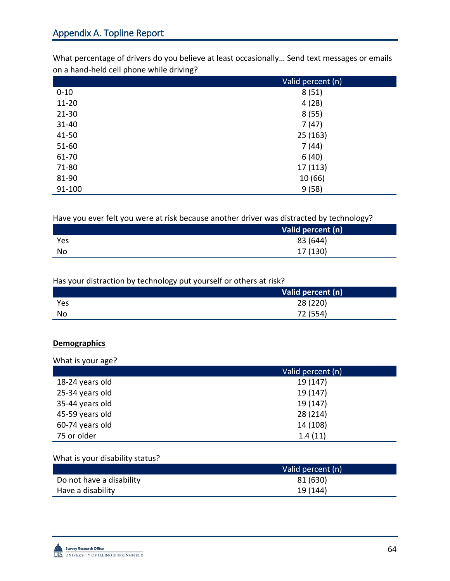What percentage of drivers do you believe at least occasionally… Send text messages or emails on a hand-held cell phone while driving?

|           | Valid percent (n) |
|-----------|-------------------|
| $0 - 10$  | 8(51)             |
| $11 - 20$ | 4(28)             |
| $21 - 30$ | 8(55)             |
| 31-40     | 7(47)             |
| 41-50     | 25(163)           |
| $51 - 60$ | 7(44)             |
| 61-70     | 6(40)             |
| 71-80     | 17 (113)          |
| 81-90     | 10(66)            |
| 91-100    | 9(58)             |

Have you ever felt you were at risk because another driver was distracted by technology?

|           | Valid percent (n) |
|-----------|-------------------|
| Yes       | 83 (644)          |
| <b>No</b> | 17 (130)          |

### Has your distraction by technology put yourself or others at risk?

|     | Valid percent (n) |
|-----|-------------------|
| Yes | 28 (220)          |
| No  | 72 (554)          |

### **Demographics**

What is your age?

|                 | Valid percent (n) |
|-----------------|-------------------|
| 18-24 years old | 19 (147)          |
| 25-34 years old | 19 (147)          |
| 35-44 years old | 19 (147)          |
| 45-59 years old | 28 (214)          |
| 60-74 years old | 14 (108)          |
| 75 or older     | 1.4(11)           |

### What is your disability status?

|                          | Valid percent (n) |
|--------------------------|-------------------|
| Do not have a disability | 81 (630)          |
| Have a disability        | 19 (144)          |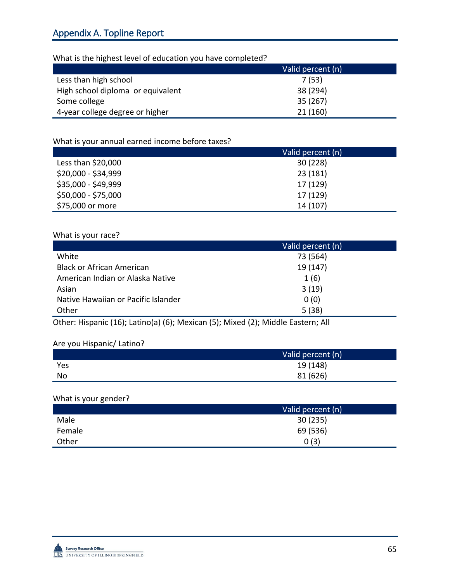## What is the highest level of education you have completed?

|                                   | Valid percent (n) |
|-----------------------------------|-------------------|
| Less than high school             | 7(53)             |
| High school diploma or equivalent | 38 (294)          |
| Some college                      | 35 (267)          |
| 4-year college degree or higher   | 21(160)           |

### What is your annual earned income before taxes?

|                     | Valid percent (n) |
|---------------------|-------------------|
| Less than \$20,000  | 30(228)           |
| \$20,000 - \$34,999 | 23(181)           |
| \$35,000 - \$49,999 | 17 (129)          |
| \$50,000 - \$75,000 | 17 (129)          |
| \$75,000 or more    | 14 (107)          |

## What is your race?

|                                     | Valid percent (n) |
|-------------------------------------|-------------------|
| White                               | 73 (564)          |
| <b>Black or African American</b>    | 19 (147)          |
| American Indian or Alaska Native    | 1(6)              |
| Asian                               | 3(19)             |
| Native Hawaiian or Pacific Islander | 0(0)              |
| Other                               | 5(38)             |

Other: Hispanic (16); Latino(a) (6); Mexican (5); Mixed (2); Middle Eastern; All

### Are you Hispanic/ Latino?

|     | Valid percent (n) |
|-----|-------------------|
| Yes | 19 (148)          |
| No  | 81 (626)          |

### What is your gender?

|        | Valid percent (n) |
|--------|-------------------|
| Male   | 30(235)           |
| Female | 69 (536)          |
| Other  | 0(3)              |

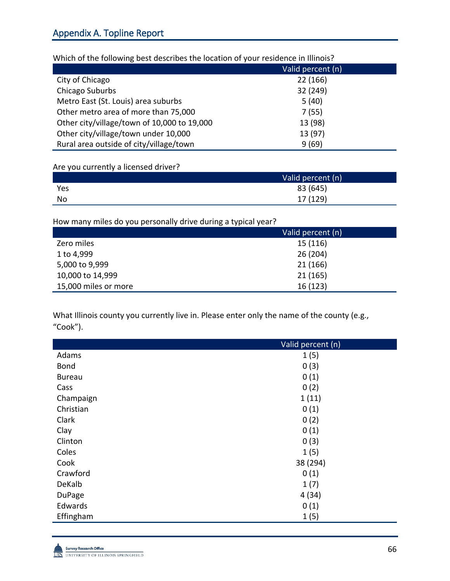| <u>WITHOL OF CHC TONOWING DESCRIPCION CHC IOCULION OF YOUR TESHUEHEC IN INHIOIS:</u> |                   |
|--------------------------------------------------------------------------------------|-------------------|
|                                                                                      | Valid percent (n) |
| City of Chicago                                                                      | 22 (166)          |
| Chicago Suburbs                                                                      | 32 (249)          |
| Metro East (St. Louis) area suburbs                                                  | 5(40)             |
| Other metro area of more than 75,000                                                 | 7(55)             |
| Other city/village/town of 10,000 to 19,000                                          | 13 (98)           |
| Other city/village/town under 10,000                                                 | 13 (97)           |
| Rural area outside of city/village/town                                              | 9(69)             |

Which of the following best describes the location of your residence in Illinois?

## Are you currently a licensed driver?

|     | Valid percent (n) |
|-----|-------------------|
| Yes | 83 (645)          |
| No  | 17 (129)          |

## How many miles do you personally drive during a typical year?

|                      | Valid percent (n) |
|----------------------|-------------------|
| Zero miles           | 15(116)           |
| 1 to 4,999           | 26(204)           |
| 5,000 to 9,999       | 21 (166)          |
| 10,000 to 14,999     | 21(165)           |
| 15,000 miles or more | 16(123)           |

What Illinois county you currently live in. Please enter only the name of the county (e.g., "Cook").

|               | Valid percent (n) |
|---------------|-------------------|
| Adams         | 1(5)              |
| <b>Bond</b>   | 0(3)              |
| <b>Bureau</b> | 0(1)              |
| Cass          | 0(2)              |
| Champaign     | 1(11)             |
| Christian     | 0(1)              |
| Clark         | 0(2)              |
| Clay          | 0(1)              |
| Clinton       | 0(3)              |
| Coles         | 1(5)              |
| Cook          | 38 (294)          |
| Crawford      | 0(1)              |
| DeKalb        | 1(7)              |
| <b>DuPage</b> | 4(34)             |
| Edwards       | 0(1)              |
| Effingham     | 1(5)              |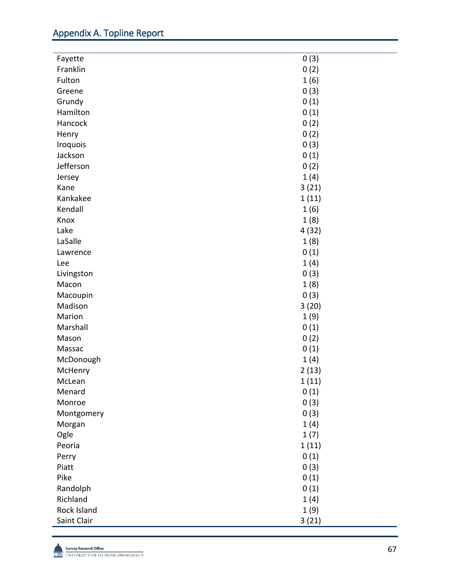| Franklin<br>0(2)<br>1(6)<br>Fulton<br>0(3)<br>Greene<br>0(1)<br>Grundy<br>Hamilton<br>0(1)<br>Hancock<br>0(2)<br>0(2)<br>Henry<br>0(3)<br>Iroquois<br>0(1)<br>Jackson<br>Jefferson<br>0(2)<br>1(4)<br>Jersey<br>3(21)<br>Kane<br>Kankakee<br>1(11)<br>Kendall<br>1(6)<br>1(8)<br>Knox<br>Lake<br>4(32)<br>LaSalle<br>1(8)<br>0(1)<br>Lawrence<br>1(4)<br>Lee<br>0(3)<br>Livingston<br>1(8)<br>Macon<br>0(3)<br>Macoupin<br>Madison<br>3(20)<br>Marion<br>1(9)<br>Marshall<br>0(1)<br>0(2)<br>Mason<br>0(1)<br>Massac<br>1(4)<br>McDonough<br>2(13)<br>McHenry<br>1(11)<br>McLean<br>0(1)<br>Menard<br>0(3)<br>Monroe<br>0(3)<br>Montgomery<br>1(4)<br>Morgan<br>Ogle<br>1(7)<br>1(11)<br>Peoria<br>0(1)<br>Perry<br>0(3)<br>Piatt<br>Pike<br>0(1)<br>Randolph<br>0(1)<br>Richland<br>1(4)<br>Rock Island<br>1(9) |         |      |
|------------------------------------------------------------------------------------------------------------------------------------------------------------------------------------------------------------------------------------------------------------------------------------------------------------------------------------------------------------------------------------------------------------------------------------------------------------------------------------------------------------------------------------------------------------------------------------------------------------------------------------------------------------------------------------------------------------------------------------------------------------------------------------------------------------------|---------|------|
|                                                                                                                                                                                                                                                                                                                                                                                                                                                                                                                                                                                                                                                                                                                                                                                                                  | Fayette | 0(3) |
|                                                                                                                                                                                                                                                                                                                                                                                                                                                                                                                                                                                                                                                                                                                                                                                                                  |         |      |
|                                                                                                                                                                                                                                                                                                                                                                                                                                                                                                                                                                                                                                                                                                                                                                                                                  |         |      |
|                                                                                                                                                                                                                                                                                                                                                                                                                                                                                                                                                                                                                                                                                                                                                                                                                  |         |      |
|                                                                                                                                                                                                                                                                                                                                                                                                                                                                                                                                                                                                                                                                                                                                                                                                                  |         |      |
|                                                                                                                                                                                                                                                                                                                                                                                                                                                                                                                                                                                                                                                                                                                                                                                                                  |         |      |
|                                                                                                                                                                                                                                                                                                                                                                                                                                                                                                                                                                                                                                                                                                                                                                                                                  |         |      |
|                                                                                                                                                                                                                                                                                                                                                                                                                                                                                                                                                                                                                                                                                                                                                                                                                  |         |      |
|                                                                                                                                                                                                                                                                                                                                                                                                                                                                                                                                                                                                                                                                                                                                                                                                                  |         |      |
|                                                                                                                                                                                                                                                                                                                                                                                                                                                                                                                                                                                                                                                                                                                                                                                                                  |         |      |
|                                                                                                                                                                                                                                                                                                                                                                                                                                                                                                                                                                                                                                                                                                                                                                                                                  |         |      |
|                                                                                                                                                                                                                                                                                                                                                                                                                                                                                                                                                                                                                                                                                                                                                                                                                  |         |      |
|                                                                                                                                                                                                                                                                                                                                                                                                                                                                                                                                                                                                                                                                                                                                                                                                                  |         |      |
|                                                                                                                                                                                                                                                                                                                                                                                                                                                                                                                                                                                                                                                                                                                                                                                                                  |         |      |
|                                                                                                                                                                                                                                                                                                                                                                                                                                                                                                                                                                                                                                                                                                                                                                                                                  |         |      |
|                                                                                                                                                                                                                                                                                                                                                                                                                                                                                                                                                                                                                                                                                                                                                                                                                  |         |      |
|                                                                                                                                                                                                                                                                                                                                                                                                                                                                                                                                                                                                                                                                                                                                                                                                                  |         |      |
|                                                                                                                                                                                                                                                                                                                                                                                                                                                                                                                                                                                                                                                                                                                                                                                                                  |         |      |
|                                                                                                                                                                                                                                                                                                                                                                                                                                                                                                                                                                                                                                                                                                                                                                                                                  |         |      |
|                                                                                                                                                                                                                                                                                                                                                                                                                                                                                                                                                                                                                                                                                                                                                                                                                  |         |      |
|                                                                                                                                                                                                                                                                                                                                                                                                                                                                                                                                                                                                                                                                                                                                                                                                                  |         |      |
|                                                                                                                                                                                                                                                                                                                                                                                                                                                                                                                                                                                                                                                                                                                                                                                                                  |         |      |
|                                                                                                                                                                                                                                                                                                                                                                                                                                                                                                                                                                                                                                                                                                                                                                                                                  |         |      |
|                                                                                                                                                                                                                                                                                                                                                                                                                                                                                                                                                                                                                                                                                                                                                                                                                  |         |      |
|                                                                                                                                                                                                                                                                                                                                                                                                                                                                                                                                                                                                                                                                                                                                                                                                                  |         |      |
|                                                                                                                                                                                                                                                                                                                                                                                                                                                                                                                                                                                                                                                                                                                                                                                                                  |         |      |
|                                                                                                                                                                                                                                                                                                                                                                                                                                                                                                                                                                                                                                                                                                                                                                                                                  |         |      |
|                                                                                                                                                                                                                                                                                                                                                                                                                                                                                                                                                                                                                                                                                                                                                                                                                  |         |      |
|                                                                                                                                                                                                                                                                                                                                                                                                                                                                                                                                                                                                                                                                                                                                                                                                                  |         |      |
|                                                                                                                                                                                                                                                                                                                                                                                                                                                                                                                                                                                                                                                                                                                                                                                                                  |         |      |
|                                                                                                                                                                                                                                                                                                                                                                                                                                                                                                                                                                                                                                                                                                                                                                                                                  |         |      |
|                                                                                                                                                                                                                                                                                                                                                                                                                                                                                                                                                                                                                                                                                                                                                                                                                  |         |      |
|                                                                                                                                                                                                                                                                                                                                                                                                                                                                                                                                                                                                                                                                                                                                                                                                                  |         |      |
|                                                                                                                                                                                                                                                                                                                                                                                                                                                                                                                                                                                                                                                                                                                                                                                                                  |         |      |
|                                                                                                                                                                                                                                                                                                                                                                                                                                                                                                                                                                                                                                                                                                                                                                                                                  |         |      |
|                                                                                                                                                                                                                                                                                                                                                                                                                                                                                                                                                                                                                                                                                                                                                                                                                  |         |      |
|                                                                                                                                                                                                                                                                                                                                                                                                                                                                                                                                                                                                                                                                                                                                                                                                                  |         |      |
|                                                                                                                                                                                                                                                                                                                                                                                                                                                                                                                                                                                                                                                                                                                                                                                                                  |         |      |
|                                                                                                                                                                                                                                                                                                                                                                                                                                                                                                                                                                                                                                                                                                                                                                                                                  |         |      |
|                                                                                                                                                                                                                                                                                                                                                                                                                                                                                                                                                                                                                                                                                                                                                                                                                  |         |      |
|                                                                                                                                                                                                                                                                                                                                                                                                                                                                                                                                                                                                                                                                                                                                                                                                                  |         |      |
|                                                                                                                                                                                                                                                                                                                                                                                                                                                                                                                                                                                                                                                                                                                                                                                                                  |         |      |
|                                                                                                                                                                                                                                                                                                                                                                                                                                                                                                                                                                                                                                                                                                                                                                                                                  |         |      |
| 3(21)<br>Saint Clair                                                                                                                                                                                                                                                                                                                                                                                                                                                                                                                                                                                                                                                                                                                                                                                             |         |      |

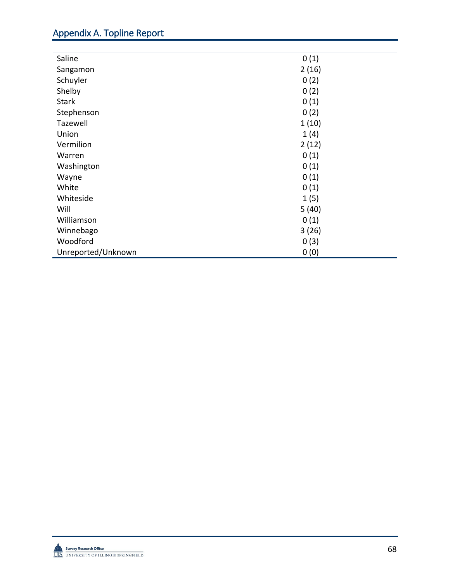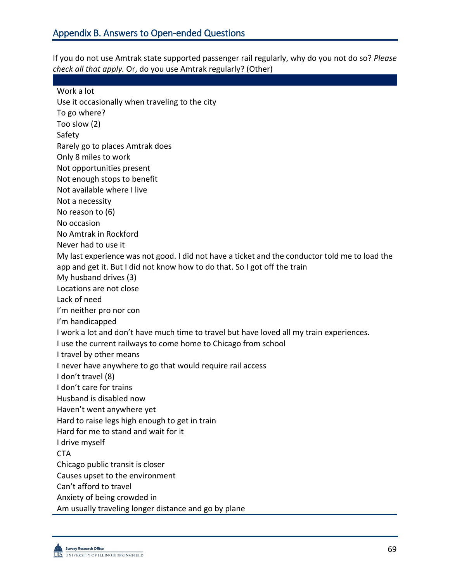If you do not use Amtrak state supported passenger rail regularly, why do you not do so? *Please check all that apply.* Or, do you use Amtrak regularly? (Other)

Work a lot Use it occasionally when traveling to the city To go where? Too slow (2) Safety Rarely go to places Amtrak does Only 8 miles to work Not opportunities present Not enough stops to benefit Not available where I live Not a necessity No reason to (6) No occasion No Amtrak in Rockford Never had to use it My last experience was not good. I did not have a ticket and the conductor told me to load the app and get it. But I did not know how to do that. So I got off the train My husband drives (3) Locations are not close Lack of need I'm neither pro nor con I'm handicapped I work a lot and don't have much time to travel but have loved all my train experiences. I use the current railways to come home to Chicago from school I travel by other means I never have anywhere to go that would require rail access I don't travel (8) I don't care for trains Husband is disabled now Haven't went anywhere yet Hard to raise legs high enough to get in train Hard for me to stand and wait for it I drive myself **CTA** Chicago public transit is closer Causes upset to the environment Can't afford to travel Anxiety of being crowded in Am usually traveling longer distance and go by plane